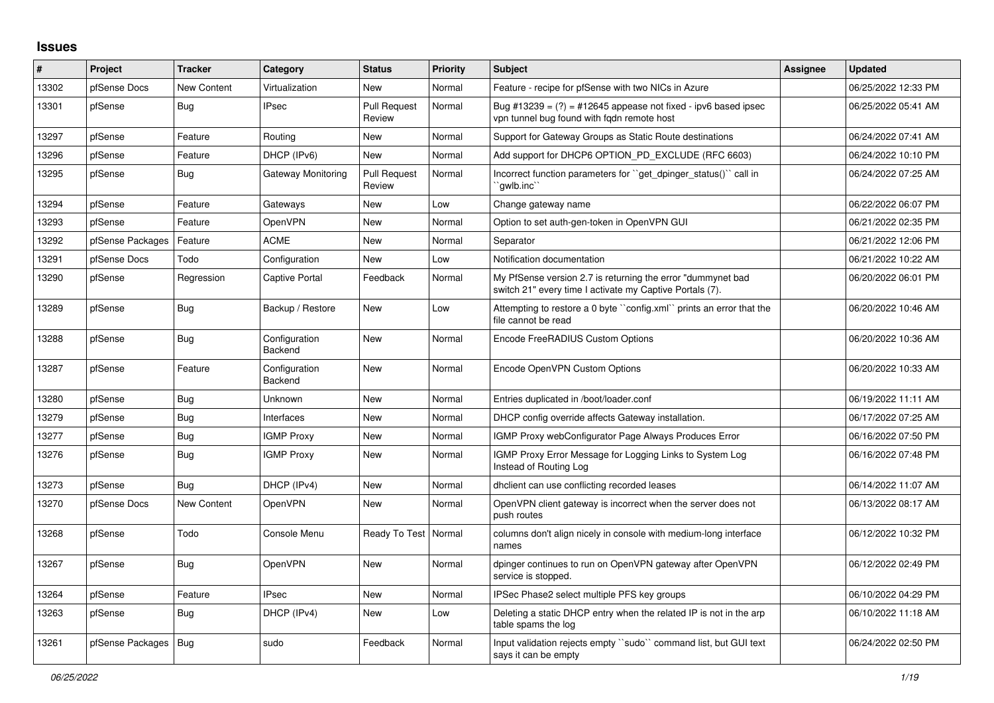## **Issues**

| #     | Project                | <b>Tracker</b>     | Category                 | <b>Status</b>                 | <b>Priority</b> | <b>Subject</b>                                                                                                          | <b>Assignee</b> | <b>Updated</b>      |
|-------|------------------------|--------------------|--------------------------|-------------------------------|-----------------|-------------------------------------------------------------------------------------------------------------------------|-----------------|---------------------|
| 13302 | pfSense Docs           | <b>New Content</b> | Virtualization           | <b>New</b>                    | Normal          | Feature - recipe for pfSense with two NICs in Azure                                                                     |                 | 06/25/2022 12:33 PM |
| 13301 | pfSense                | <b>Bug</b>         | <b>IPsec</b>             | <b>Pull Request</b><br>Review | Normal          | Bug #13239 = $(?)$ = #12645 appease not fixed - ipv6 based ipsec<br>vpn tunnel bug found with fgdn remote host          |                 | 06/25/2022 05:41 AM |
| 13297 | pfSense                | Feature            | Routing                  | <b>New</b>                    | Normal          | Support for Gateway Groups as Static Route destinations                                                                 |                 | 06/24/2022 07:41 AM |
| 13296 | pfSense                | Feature            | DHCP (IPv6)              | <b>New</b>                    | Normal          | Add support for DHCP6 OPTION PD EXCLUDE (RFC 6603)                                                                      |                 | 06/24/2022 10:10 PM |
| 13295 | pfSense                | Bug                | Gateway Monitoring       | <b>Pull Request</b><br>Review | Normal          | Incorrect function parameters for "get dpinger status()" call in<br>`qwlb.inc``                                         |                 | 06/24/2022 07:25 AM |
| 13294 | pfSense                | Feature            | Gateways                 | <b>New</b>                    | Low             | Change gateway name                                                                                                     |                 | 06/22/2022 06:07 PM |
| 13293 | pfSense                | Feature            | <b>OpenVPN</b>           | New                           | Normal          | Option to set auth-gen-token in OpenVPN GUI                                                                             |                 | 06/21/2022 02:35 PM |
| 13292 | pfSense Packages       | Feature            | <b>ACME</b>              | <b>New</b>                    | Normal          | Separator                                                                                                               |                 | 06/21/2022 12:06 PM |
| 13291 | pfSense Docs           | Todo               | Configuration            | <b>New</b>                    | Low             | Notification documentation                                                                                              |                 | 06/21/2022 10:22 AM |
| 13290 | pfSense                | Regression         | Captive Portal           | Feedback                      | Normal          | My PfSense version 2.7 is returning the error "dummynet bad<br>switch 21" every time I activate my Captive Portals (7). |                 | 06/20/2022 06:01 PM |
| 13289 | pfSense                | <b>Bug</b>         | Backup / Restore         | <b>New</b>                    | Low             | Attempting to restore a 0 byte "config.xml" prints an error that the<br>file cannot be read                             |                 | 06/20/2022 10:46 AM |
| 13288 | pfSense                | <b>Bug</b>         | Configuration<br>Backend | <b>New</b>                    | Normal          | Encode FreeRADIUS Custom Options                                                                                        |                 | 06/20/2022 10:36 AM |
| 13287 | pfSense                | Feature            | Configuration<br>Backend | New                           | Normal          | Encode OpenVPN Custom Options                                                                                           |                 | 06/20/2022 10:33 AM |
| 13280 | pfSense                | Bug                | Unknown                  | New                           | Normal          | Entries duplicated in /boot/loader.conf                                                                                 |                 | 06/19/2022 11:11 AM |
| 13279 | pfSense                | Bug                | Interfaces               | <b>New</b>                    | Normal          | DHCP config override affects Gateway installation.                                                                      |                 | 06/17/2022 07:25 AM |
| 13277 | pfSense                | Bug                | <b>IGMP Proxy</b>        | New                           | Normal          | IGMP Proxy webConfigurator Page Always Produces Error                                                                   |                 | 06/16/2022 07:50 PM |
| 13276 | pfSense                | Bug                | <b>IGMP Proxy</b>        | New                           | Normal          | IGMP Proxy Error Message for Logging Links to System Log<br>Instead of Routing Log                                      |                 | 06/16/2022 07:48 PM |
| 13273 | pfSense                | Bug                | DHCP (IPv4)              | <b>New</b>                    | Normal          | dholient can use conflicting recorded leases                                                                            |                 | 06/14/2022 11:07 AM |
| 13270 | pfSense Docs           | <b>New Content</b> | <b>OpenVPN</b>           | <b>New</b>                    | Normal          | OpenVPN client gateway is incorrect when the server does not<br>push routes                                             |                 | 06/13/2022 08:17 AM |
| 13268 | pfSense                | Todo               | Console Menu             | Ready To Test   Normal        |                 | columns don't align nicely in console with medium-long interface<br>names                                               |                 | 06/12/2022 10:32 PM |
| 13267 | pfSense                | Bug                | OpenVPN                  | New                           | Normal          | dpinger continues to run on OpenVPN gateway after OpenVPN<br>service is stopped.                                        |                 | 06/12/2022 02:49 PM |
| 13264 | pfSense                | Feature            | <b>IPsec</b>             | <b>New</b>                    | Normal          | IPSec Phase2 select multiple PFS key groups                                                                             |                 | 06/10/2022 04:29 PM |
| 13263 | pfSense                | Bug                | DHCP (IPv4)              | New                           | Low             | Deleting a static DHCP entry when the related IP is not in the arp<br>table spams the log                               |                 | 06/10/2022 11:18 AM |
| 13261 | pfSense Packages   Bug |                    | sudo                     | Feedback                      | Normal          | Input validation rejects empty "sudo" command list, but GUI text<br>says it can be empty                                |                 | 06/24/2022 02:50 PM |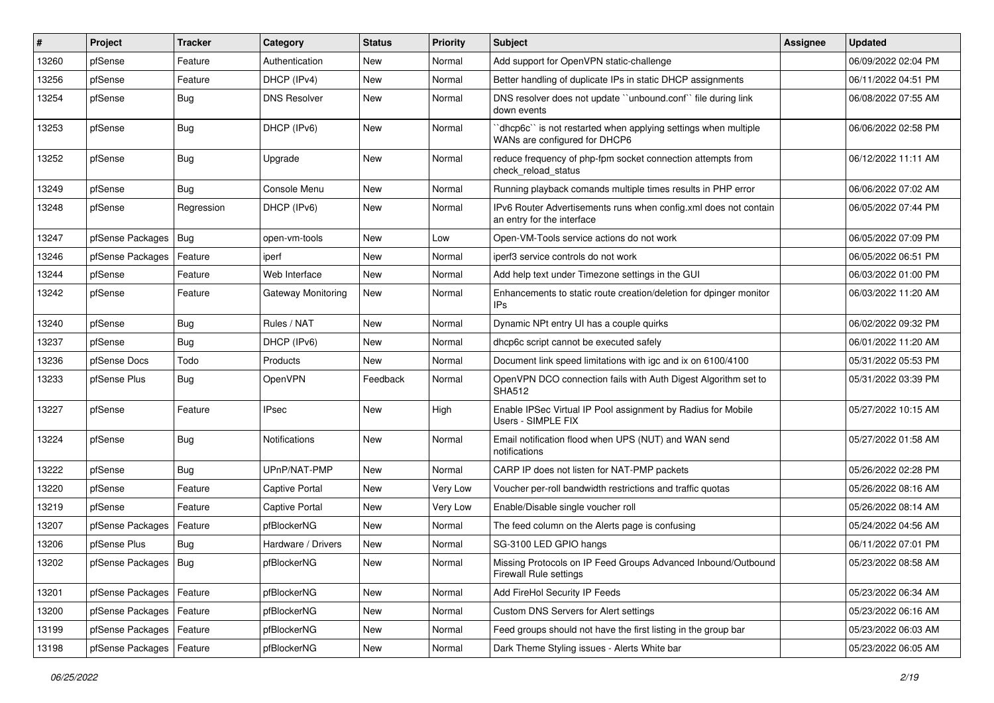| ∦     | Project                | <b>Tracker</b> | Category              | <b>Status</b> | <b>Priority</b> | Subject                                                                                         | <b>Assignee</b> | <b>Updated</b>      |
|-------|------------------------|----------------|-----------------------|---------------|-----------------|-------------------------------------------------------------------------------------------------|-----------------|---------------------|
| 13260 | pfSense                | Feature        | Authentication        | New           | Normal          | Add support for OpenVPN static-challenge                                                        |                 | 06/09/2022 02:04 PM |
| 13256 | pfSense                | Feature        | DHCP (IPv4)           | <b>New</b>    | Normal          | Better handling of duplicate IPs in static DHCP assignments                                     |                 | 06/11/2022 04:51 PM |
| 13254 | pfSense                | Bug            | <b>DNS Resolver</b>   | New           | Normal          | DNS resolver does not update "unbound.conf" file during link<br>down events                     |                 | 06/08/2022 07:55 AM |
| 13253 | pfSense                | Bug            | DHCP (IPv6)           | <b>New</b>    | Normal          | 'dhcp6c' is not restarted when applying settings when multiple<br>WANs are configured for DHCP6 |                 | 06/06/2022 02:58 PM |
| 13252 | pfSense                | Bug            | Upgrade               | New           | Normal          | reduce frequency of php-fpm socket connection attempts from<br>check reload status              |                 | 06/12/2022 11:11 AM |
| 13249 | pfSense                | <b>Bug</b>     | Console Menu          | New           | Normal          | Running playback comands multiple times results in PHP error                                    |                 | 06/06/2022 07:02 AM |
| 13248 | pfSense                | Regression     | DHCP (IPv6)           | New           | Normal          | IPv6 Router Advertisements runs when config.xml does not contain<br>an entry for the interface  |                 | 06/05/2022 07:44 PM |
| 13247 | pfSense Packages       | Bug            | open-vm-tools         | New           | Low             | Open-VM-Tools service actions do not work                                                       |                 | 06/05/2022 07:09 PM |
| 13246 | pfSense Packages       | Feature        | iperf                 | New           | Normal          | iperf3 service controls do not work                                                             |                 | 06/05/2022 06:51 PM |
| 13244 | pfSense                | Feature        | Web Interface         | New           | Normal          | Add help text under Timezone settings in the GUI                                                |                 | 06/03/2022 01:00 PM |
| 13242 | pfSense                | Feature        | Gateway Monitoring    | New           | Normal          | Enhancements to static route creation/deletion for dpinger monitor<br>IPs                       |                 | 06/03/2022 11:20 AM |
| 13240 | pfSense                | Bug            | Rules / NAT           | New           | Normal          | Dynamic NPt entry UI has a couple quirks                                                        |                 | 06/02/2022 09:32 PM |
| 13237 | pfSense                | Bug            | DHCP (IPv6)           | New           | Normal          | dhcp6c script cannot be executed safely                                                         |                 | 06/01/2022 11:20 AM |
| 13236 | pfSense Docs           | Todo           | Products              | <b>New</b>    | Normal          | Document link speed limitations with igc and ix on 6100/4100                                    |                 | 05/31/2022 05:53 PM |
| 13233 | pfSense Plus           | Bug            | <b>OpenVPN</b>        | Feedback      | Normal          | OpenVPN DCO connection fails with Auth Digest Algorithm set to<br><b>SHA512</b>                 |                 | 05/31/2022 03:39 PM |
| 13227 | pfSense                | Feature        | <b>IPsec</b>          | New           | High            | Enable IPSec Virtual IP Pool assignment by Radius for Mobile<br>Users - SIMPLE FIX              |                 | 05/27/2022 10:15 AM |
| 13224 | pfSense                | Bug            | <b>Notifications</b>  | <b>New</b>    | Normal          | Email notification flood when UPS (NUT) and WAN send<br>notifications                           |                 | 05/27/2022 01:58 AM |
| 13222 | pfSense                | Bug            | UPnP/NAT-PMP          | New           | Normal          | CARP IP does not listen for NAT-PMP packets                                                     |                 | 05/26/2022 02:28 PM |
| 13220 | pfSense                | Feature        | <b>Captive Portal</b> | <b>New</b>    | Very Low        | Voucher per-roll bandwidth restrictions and traffic quotas                                      |                 | 05/26/2022 08:16 AM |
| 13219 | pfSense                | Feature        | <b>Captive Portal</b> | New           | Very Low        | Enable/Disable single voucher roll                                                              |                 | 05/26/2022 08:14 AM |
| 13207 | pfSense Packages       | Feature        | pfBlockerNG           | <b>New</b>    | Normal          | The feed column on the Alerts page is confusing                                                 |                 | 05/24/2022 04:56 AM |
| 13206 | pfSense Plus           | Bug            | Hardware / Drivers    | New           | Normal          | SG-3100 LED GPIO hangs                                                                          |                 | 06/11/2022 07:01 PM |
| 13202 | pfSense Packages   Bug |                | pfBlockerNG           | New           | Normal          | Missing Protocols on IP Feed Groups Advanced Inbound/Outbound<br>Firewall Rule settings         |                 | 05/23/2022 08:58 AM |
| 13201 | pfSense Packages       | Feature        | pfBlockerNG           | New           | Normal          | Add FireHol Security IP Feeds                                                                   |                 | 05/23/2022 06:34 AM |
| 13200 | pfSense Packages       | Feature        | pfBlockerNG           | New           | Normal          | Custom DNS Servers for Alert settings                                                           |                 | 05/23/2022 06:16 AM |
| 13199 | pfSense Packages       | Feature        | pfBlockerNG           | New           | Normal          | Feed groups should not have the first listing in the group bar                                  |                 | 05/23/2022 06:03 AM |
| 13198 | pfSense Packages       | Feature        | pfBlockerNG           | New           | Normal          | Dark Theme Styling issues - Alerts White bar                                                    |                 | 05/23/2022 06:05 AM |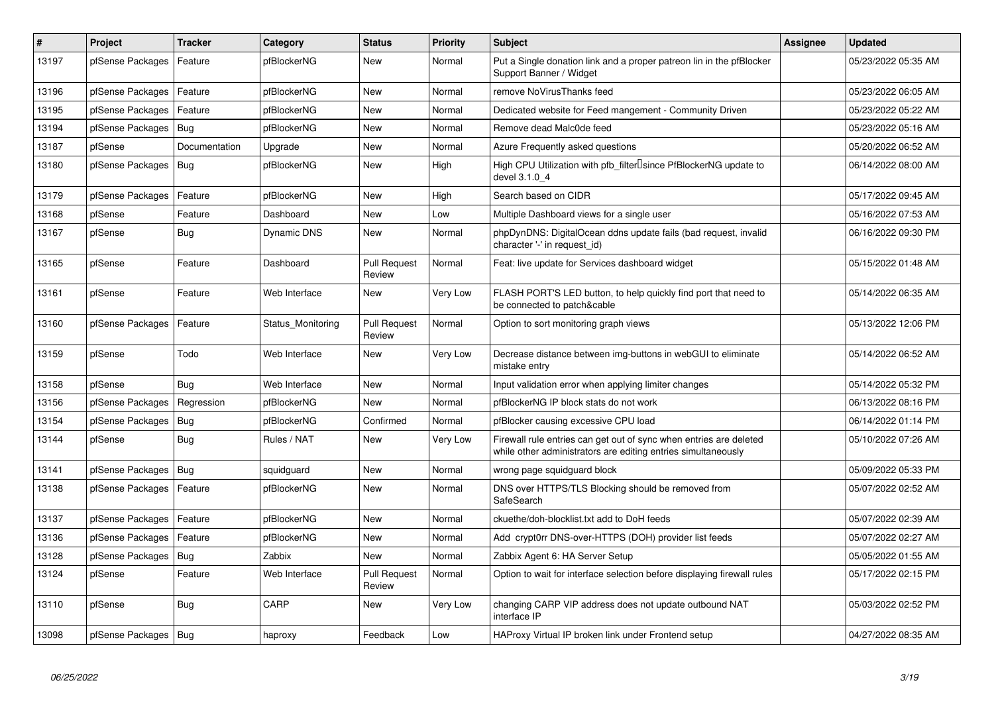| #     | <b>Project</b>         | <b>Tracker</b> | Category           | <b>Status</b>                 | <b>Priority</b> | <b>Subject</b>                                                                                                                      | Assignee | <b>Updated</b>      |
|-------|------------------------|----------------|--------------------|-------------------------------|-----------------|-------------------------------------------------------------------------------------------------------------------------------------|----------|---------------------|
| 13197 | pfSense Packages       | Feature        | pfBlockerNG        | <b>New</b>                    | Normal          | Put a Single donation link and a proper patreon lin in the pfBlocker<br>Support Banner / Widget                                     |          | 05/23/2022 05:35 AM |
| 13196 | pfSense Packages       | Feature        | pfBlockerNG        | New                           | Normal          | remove NoVirusThanks feed                                                                                                           |          | 05/23/2022 06:05 AM |
| 13195 | pfSense Packages       | Feature        | pfBlockerNG        | <b>New</b>                    | Normal          | Dedicated website for Feed mangement - Community Driven                                                                             |          | 05/23/2022 05:22 AM |
| 13194 | pfSense Packages       | Bug            | pfBlockerNG        | <b>New</b>                    | Normal          | Remove dead Malc0de feed                                                                                                            |          | 05/23/2022 05:16 AM |
| 13187 | pfSense                | Documentation  | Upgrade            | New                           | Normal          | Azure Frequently asked questions                                                                                                    |          | 05/20/2022 06:52 AM |
| 13180 | pfSense Packages       | <b>Bug</b>     | pfBlockerNG        | <b>New</b>                    | High            | High CPU Utilization with pfb_filter <sup>[]</sup> since PfBlockerNG update to<br>devel 3.1.0 4                                     |          | 06/14/2022 08:00 AM |
| 13179 | pfSense Packages       | Feature        | pfBlockerNG        | <b>New</b>                    | High            | Search based on CIDR                                                                                                                |          | 05/17/2022 09:45 AM |
| 13168 | pfSense                | Feature        | Dashboard          | <b>New</b>                    | Low             | Multiple Dashboard views for a single user                                                                                          |          | 05/16/2022 07:53 AM |
| 13167 | pfSense                | Bug            | <b>Dynamic DNS</b> | <b>New</b>                    | Normal          | phpDynDNS: DigitalOcean ddns update fails (bad request, invalid<br>character '-' in request id)                                     |          | 06/16/2022 09:30 PM |
| 13165 | pfSense                | Feature        | Dashboard          | <b>Pull Request</b><br>Review | Normal          | Feat: live update for Services dashboard widget                                                                                     |          | 05/15/2022 01:48 AM |
| 13161 | pfSense                | Feature        | Web Interface      | <b>New</b>                    | Very Low        | FLASH PORT'S LED button, to help quickly find port that need to<br>be connected to patch&cable                                      |          | 05/14/2022 06:35 AM |
| 13160 | pfSense Packages       | Feature        | Status_Monitoring  | <b>Pull Request</b><br>Review | Normal          | Option to sort monitoring graph views                                                                                               |          | 05/13/2022 12:06 PM |
| 13159 | pfSense                | Todo           | Web Interface      | <b>New</b>                    | Very Low        | Decrease distance between img-buttons in webGUI to eliminate<br>mistake entry                                                       |          | 05/14/2022 06:52 AM |
| 13158 | pfSense                | Bug            | Web Interface      | New                           | Normal          | Input validation error when applying limiter changes                                                                                |          | 05/14/2022 05:32 PM |
| 13156 | pfSense Packages       | Regression     | pfBlockerNG        | <b>New</b>                    | Normal          | pfBlockerNG IP block stats do not work                                                                                              |          | 06/13/2022 08:16 PM |
| 13154 | pfSense Packages       | Bug            | pfBlockerNG        | Confirmed                     | Normal          | pfBlocker causing excessive CPU load                                                                                                |          | 06/14/2022 01:14 PM |
| 13144 | pfSense                | <b>Bug</b>     | Rules / NAT        | <b>New</b>                    | Very Low        | Firewall rule entries can get out of sync when entries are deleted<br>while other administrators are editing entries simultaneously |          | 05/10/2022 07:26 AM |
| 13141 | pfSense Packages       | <b>Bug</b>     | squidguard         | <b>New</b>                    | Normal          | wrong page squidguard block                                                                                                         |          | 05/09/2022 05:33 PM |
| 13138 | pfSense Packages       | Feature        | pfBlockerNG        | <b>New</b>                    | Normal          | DNS over HTTPS/TLS Blocking should be removed from<br>SafeSearch                                                                    |          | 05/07/2022 02:52 AM |
| 13137 | pfSense Packages       | Feature        | pfBlockerNG        | <b>New</b>                    | Normal          | ckuethe/doh-blocklist.txt add to DoH feeds                                                                                          |          | 05/07/2022 02:39 AM |
| 13136 | pfSense Packages       | Feature        | pfBlockerNG        | <b>New</b>                    | Normal          | Add crypt0rr DNS-over-HTTPS (DOH) provider list feeds                                                                               |          | 05/07/2022 02:27 AM |
| 13128 | pfSense Packages       | Bug            | Zabbix             | New                           | Normal          | Zabbix Agent 6: HA Server Setup                                                                                                     |          | 05/05/2022 01:55 AM |
| 13124 | pfSense                | Feature        | Web Interface      | <b>Pull Request</b><br>Review | Normal          | Option to wait for interface selection before displaying firewall rules                                                             |          | 05/17/2022 02:15 PM |
| 13110 | pfSense                | <b>Bug</b>     | CARP               | New                           | Very Low        | changing CARP VIP address does not update outbound NAT<br>interface IP                                                              |          | 05/03/2022 02:52 PM |
| 13098 | pfSense Packages   Bug |                | haproxy            | Feedback                      | Low             | HAProxy Virtual IP broken link under Frontend setup                                                                                 |          | 04/27/2022 08:35 AM |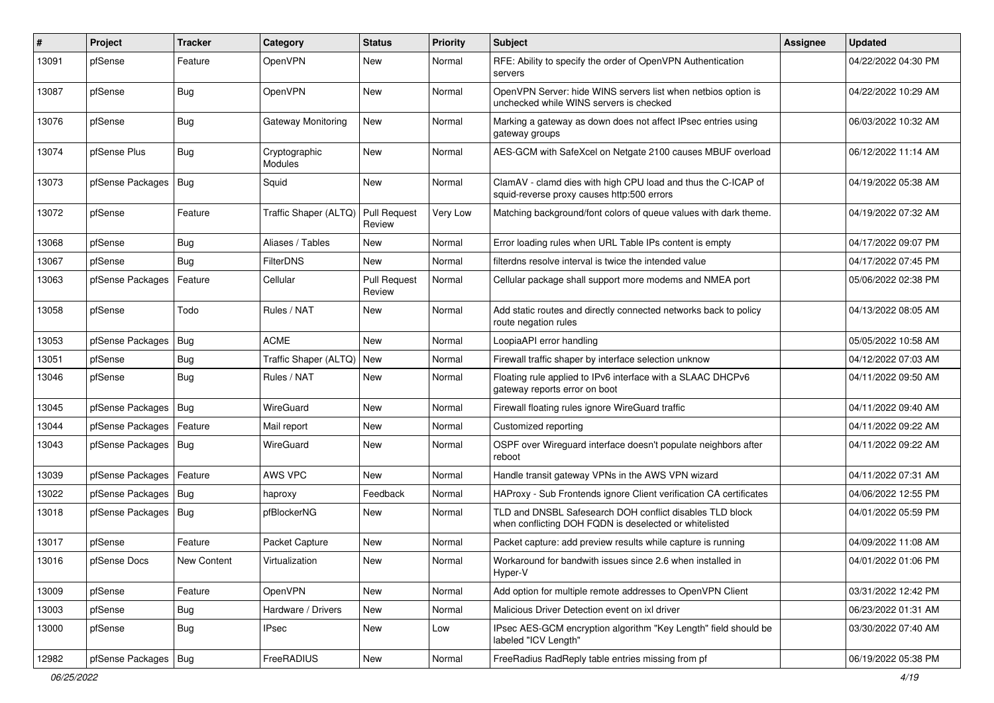| ∦     | Project                | <b>Tracker</b> | Category                 | <b>Status</b>                 | <b>Priority</b> | <b>Subject</b>                                                                                                     | <b>Assignee</b> | <b>Updated</b>      |
|-------|------------------------|----------------|--------------------------|-------------------------------|-----------------|--------------------------------------------------------------------------------------------------------------------|-----------------|---------------------|
| 13091 | pfSense                | Feature        | OpenVPN                  | New                           | Normal          | RFE: Ability to specify the order of OpenVPN Authentication<br>servers                                             |                 | 04/22/2022 04:30 PM |
| 13087 | pfSense                | Bug            | OpenVPN                  | New                           | Normal          | OpenVPN Server: hide WINS servers list when netbios option is<br>unchecked while WINS servers is checked           |                 | 04/22/2022 10:29 AM |
| 13076 | pfSense                | Bug            | Gateway Monitoring       | <b>New</b>                    | Normal          | Marking a gateway as down does not affect IPsec entries using<br>gateway groups                                    |                 | 06/03/2022 10:32 AM |
| 13074 | pfSense Plus           | Bug            | Cryptographic<br>Modules | New                           | Normal          | AES-GCM with SafeXcel on Netgate 2100 causes MBUF overload                                                         |                 | 06/12/2022 11:14 AM |
| 13073 | pfSense Packages       | Bug            | Squid                    | New                           | Normal          | ClamAV - clamd dies with high CPU load and thus the C-ICAP of<br>squid-reverse proxy causes http:500 errors        |                 | 04/19/2022 05:38 AM |
| 13072 | pfSense                | Feature        | Traffic Shaper (ALTQ)    | <b>Pull Request</b><br>Review | Very Low        | Matching background/font colors of queue values with dark theme.                                                   |                 | 04/19/2022 07:32 AM |
| 13068 | pfSense                | Bug            | Aliases / Tables         | New                           | Normal          | Error loading rules when URL Table IPs content is empty                                                            |                 | 04/17/2022 09:07 PM |
| 13067 | pfSense                | Bug            | <b>FilterDNS</b>         | New                           | Normal          | filterdns resolve interval is twice the intended value                                                             |                 | 04/17/2022 07:45 PM |
| 13063 | pfSense Packages       | Feature        | Cellular                 | <b>Pull Request</b><br>Review | Normal          | Cellular package shall support more modems and NMEA port                                                           |                 | 05/06/2022 02:38 PM |
| 13058 | pfSense                | Todo           | Rules / NAT              | New                           | Normal          | Add static routes and directly connected networks back to policy<br>route negation rules                           |                 | 04/13/2022 08:05 AM |
| 13053 | pfSense Packages       | Bug            | <b>ACME</b>              | <b>New</b>                    | Normal          | LoopiaAPI error handling                                                                                           |                 | 05/05/2022 10:58 AM |
| 13051 | pfSense                | Bug            | Traffic Shaper (ALTQ)    | New                           | Normal          | Firewall traffic shaper by interface selection unknow                                                              |                 | 04/12/2022 07:03 AM |
| 13046 | pfSense                | Bug            | Rules / NAT              | New                           | Normal          | Floating rule applied to IPv6 interface with a SLAAC DHCPv6<br>gateway reports error on boot                       |                 | 04/11/2022 09:50 AM |
| 13045 | pfSense Packages   Bug |                | WireGuard                | New                           | Normal          | Firewall floating rules ignore WireGuard traffic                                                                   |                 | 04/11/2022 09:40 AM |
| 13044 | pfSense Packages       | Feature        | Mail report              | New                           | Normal          | Customized reporting                                                                                               |                 | 04/11/2022 09:22 AM |
| 13043 | pfSense Packages       | Bug            | WireGuard                | New                           | Normal          | OSPF over Wireguard interface doesn't populate neighbors after<br>reboot                                           |                 | 04/11/2022 09:22 AM |
| 13039 | pfSense Packages       | Feature        | AWS VPC                  | <b>New</b>                    | Normal          | Handle transit gateway VPNs in the AWS VPN wizard                                                                  |                 | 04/11/2022 07:31 AM |
| 13022 | pfSense Packages   Bug |                | haproxy                  | Feedback                      | Normal          | HAProxy - Sub Frontends ignore Client verification CA certificates                                                 |                 | 04/06/2022 12:55 PM |
| 13018 | pfSense Packages   Bug |                | pfBlockerNG              | New                           | Normal          | TLD and DNSBL Safesearch DOH conflict disables TLD block<br>when conflicting DOH FQDN is deselected or whitelisted |                 | 04/01/2022 05:59 PM |
| 13017 | pfSense                | Feature        | Packet Capture           | New                           | Normal          | Packet capture: add preview results while capture is running                                                       |                 | 04/09/2022 11:08 AM |
| 13016 | pfSense Docs           | New Content    | Virtualization           | New                           | Normal          | Workaround for bandwith issues since 2.6 when installed in<br>Hyper-V                                              |                 | 04/01/2022 01:06 PM |
| 13009 | pfSense                | Feature        | OpenVPN                  | New                           | Normal          | Add option for multiple remote addresses to OpenVPN Client                                                         |                 | 03/31/2022 12:42 PM |
| 13003 | pfSense                | <b>Bug</b>     | Hardware / Drivers       | New                           | Normal          | Malicious Driver Detection event on ixl driver                                                                     |                 | 06/23/2022 01:31 AM |
| 13000 | pfSense                | <b>Bug</b>     | IPsec                    | New                           | Low             | IPsec AES-GCM encryption algorithm "Key Length" field should be<br>labeled "ICV Length"                            |                 | 03/30/2022 07:40 AM |
| 12982 | pfSense Packages   Bug |                | FreeRADIUS               | New                           | Normal          | FreeRadius RadReply table entries missing from pf                                                                  |                 | 06/19/2022 05:38 PM |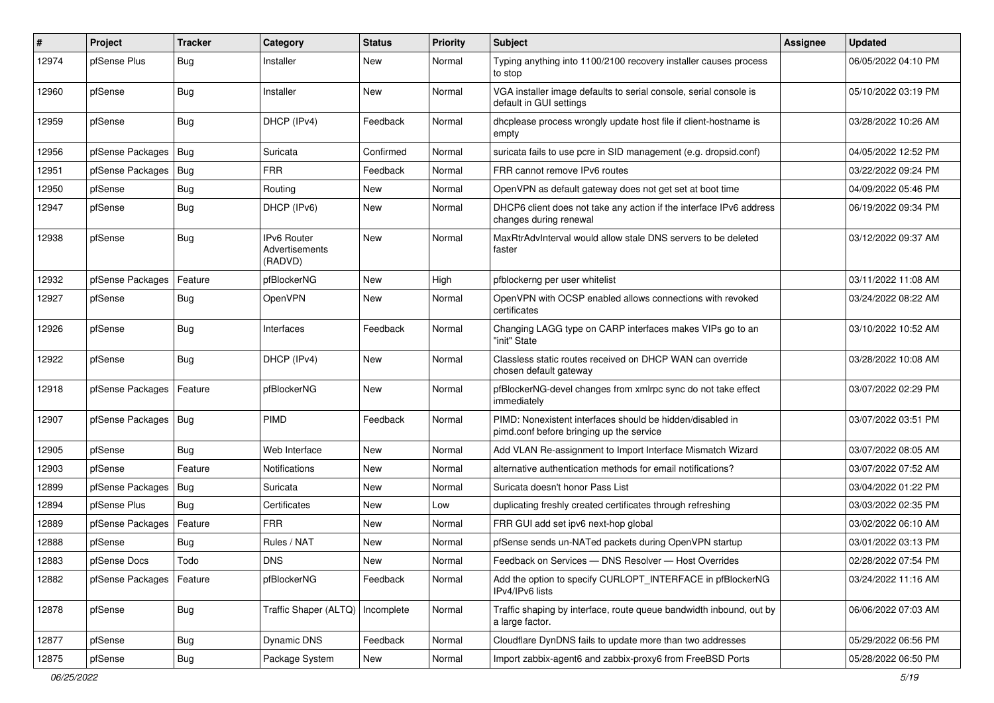| ∦     | Project                | <b>Tracker</b> | Category                                 | <b>Status</b> | <b>Priority</b> | <b>Subject</b>                                                                                        | <b>Assignee</b> | <b>Updated</b>      |
|-------|------------------------|----------------|------------------------------------------|---------------|-----------------|-------------------------------------------------------------------------------------------------------|-----------------|---------------------|
| 12974 | pfSense Plus           | Bug            | Installer                                | New           | Normal          | Typing anything into 1100/2100 recovery installer causes process<br>to stop                           |                 | 06/05/2022 04:10 PM |
| 12960 | pfSense                | Bug            | Installer                                | New           | Normal          | VGA installer image defaults to serial console, serial console is<br>default in GUI settings          |                 | 05/10/2022 03:19 PM |
| 12959 | pfSense                | Bug            | DHCP (IPv4)                              | Feedback      | Normal          | dhcplease process wrongly update host file if client-hostname is<br>empty                             |                 | 03/28/2022 10:26 AM |
| 12956 | pfSense Packages   Bug |                | Suricata                                 | Confirmed     | Normal          | suricata fails to use pcre in SID management (e.g. dropsid.conf)                                      |                 | 04/05/2022 12:52 PM |
| 12951 | pfSense Packages       | Bug            | <b>FRR</b>                               | Feedback      | Normal          | FRR cannot remove IPv6 routes                                                                         |                 | 03/22/2022 09:24 PM |
| 12950 | pfSense                | Bug            | Routing                                  | New           | Normal          | OpenVPN as default gateway does not get set at boot time                                              |                 | 04/09/2022 05:46 PM |
| 12947 | pfSense                | Bug            | DHCP (IPv6)                              | New           | Normal          | DHCP6 client does not take any action if the interface IPv6 address<br>changes during renewal         |                 | 06/19/2022 09:34 PM |
| 12938 | pfSense                | Bug            | IPv6 Router<br>Advertisements<br>(RADVD) | New           | Normal          | MaxRtrAdvInterval would allow stale DNS servers to be deleted<br>faster                               |                 | 03/12/2022 09:37 AM |
| 12932 | pfSense Packages       | Feature        | pfBlockerNG                              | New           | High            | pfblockerng per user whitelist                                                                        |                 | 03/11/2022 11:08 AM |
| 12927 | pfSense                | Bug            | OpenVPN                                  | New           | Normal          | OpenVPN with OCSP enabled allows connections with revoked<br>certificates                             |                 | 03/24/2022 08:22 AM |
| 12926 | pfSense                | Bug            | Interfaces                               | Feedback      | Normal          | Changing LAGG type on CARP interfaces makes VIPs go to an<br>"init" State                             |                 | 03/10/2022 10:52 AM |
| 12922 | pfSense                | Bug            | DHCP (IPv4)                              | New           | Normal          | Classless static routes received on DHCP WAN can override<br>chosen default gateway                   |                 | 03/28/2022 10:08 AM |
| 12918 | pfSense Packages       | Feature        | pfBlockerNG                              | <b>New</b>    | Normal          | pfBlockerNG-devel changes from xmlrpc sync do not take effect<br>immediately                          |                 | 03/07/2022 02:29 PM |
| 12907 | pfSense Packages   Bug |                | PIMD                                     | Feedback      | Normal          | PIMD: Nonexistent interfaces should be hidden/disabled in<br>pimd.conf before bringing up the service |                 | 03/07/2022 03:51 PM |
| 12905 | pfSense                | Bug            | Web Interface                            | New           | Normal          | Add VLAN Re-assignment to Import Interface Mismatch Wizard                                            |                 | 03/07/2022 08:05 AM |
| 12903 | pfSense                | Feature        | <b>Notifications</b>                     | New           | Normal          | alternative authentication methods for email notifications?                                           |                 | 03/07/2022 07:52 AM |
| 12899 | pfSense Packages       | Bug            | Suricata                                 | New           | Normal          | Suricata doesn't honor Pass List                                                                      |                 | 03/04/2022 01:22 PM |
| 12894 | pfSense Plus           | Bug            | Certificates                             | New           | Low             | duplicating freshly created certificates through refreshing                                           |                 | 03/03/2022 02:35 PM |
| 12889 | pfSense Packages       | Feature        | <b>FRR</b>                               | New           | Normal          | FRR GUI add set ipv6 next-hop global                                                                  |                 | 03/02/2022 06:10 AM |
| 12888 | pfSense                | Bug            | Rules / NAT                              | New           | Normal          | pfSense sends un-NATed packets during OpenVPN startup                                                 |                 | 03/01/2022 03:13 PM |
| 12883 | pfSense Docs           | Todo           | <b>DNS</b>                               | New           | Normal          | Feedback on Services - DNS Resolver - Host Overrides                                                  |                 | 02/28/2022 07:54 PM |
| 12882 | pfSense Packages       | Feature        | pfBlockerNG                              | Feedback      | Normal          | Add the option to specify CURLOPT INTERFACE in pfBlockerNG<br>IPv4/IPv6 lists                         |                 | 03/24/2022 11:16 AM |
| 12878 | pfSense                | <b>Bug</b>     | Traffic Shaper (ALTQ)                    | Incomplete    | Normal          | Traffic shaping by interface, route queue bandwidth inbound, out by<br>a large factor.                |                 | 06/06/2022 07:03 AM |
| 12877 | pfSense                | <b>Bug</b>     | Dynamic DNS                              | Feedback      | Normal          | Cloudflare DynDNS fails to update more than two addresses                                             |                 | 05/29/2022 06:56 PM |
| 12875 | pfSense                | <b>Bug</b>     | Package System                           | New           | Normal          | Import zabbix-agent6 and zabbix-proxy6 from FreeBSD Ports                                             |                 | 05/28/2022 06:50 PM |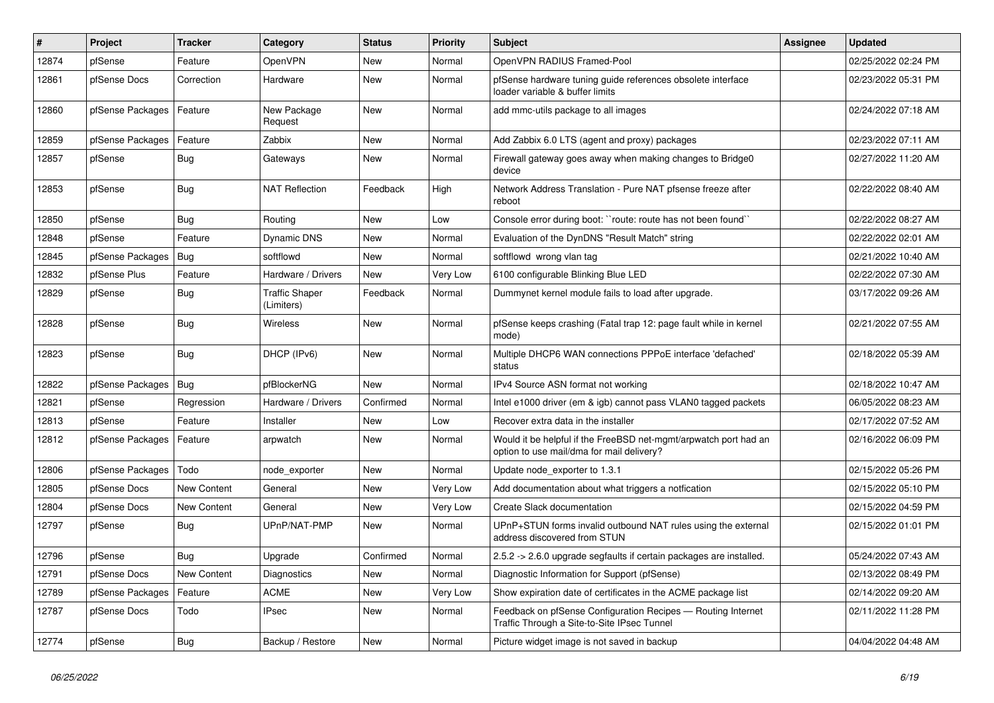| #     | Project          | <b>Tracker</b> | Category                            | <b>Status</b> | <b>Priority</b> | <b>Subject</b>                                                                                                | <b>Assignee</b> | <b>Updated</b>      |
|-------|------------------|----------------|-------------------------------------|---------------|-----------------|---------------------------------------------------------------------------------------------------------------|-----------------|---------------------|
| 12874 | pfSense          | Feature        | OpenVPN                             | New           | Normal          | OpenVPN RADIUS Framed-Pool                                                                                    |                 | 02/25/2022 02:24 PM |
| 12861 | pfSense Docs     | Correction     | Hardware                            | <b>New</b>    | Normal          | pfSense hardware tuning guide references obsolete interface<br>loader variable & buffer limits                |                 | 02/23/2022 05:31 PM |
| 12860 | pfSense Packages | Feature        | New Package<br>Request              | <b>New</b>    | Normal          | add mmc-utils package to all images                                                                           |                 | 02/24/2022 07:18 AM |
| 12859 | pfSense Packages | Feature        | Zabbix                              | New           | Normal          | Add Zabbix 6.0 LTS (agent and proxy) packages                                                                 |                 | 02/23/2022 07:11 AM |
| 12857 | pfSense          | <b>Bug</b>     | Gateways                            | New           | Normal          | Firewall gateway goes away when making changes to Bridge0<br>device                                           |                 | 02/27/2022 11:20 AM |
| 12853 | pfSense          | Bug            | <b>NAT Reflection</b>               | Feedback      | High            | Network Address Translation - Pure NAT pfsense freeze after<br>reboot                                         |                 | 02/22/2022 08:40 AM |
| 12850 | pfSense          | Bug            | Routing                             | <b>New</b>    | Low             | Console error during boot: "route: route has not been found"                                                  |                 | 02/22/2022 08:27 AM |
| 12848 | pfSense          | Feature        | Dynamic DNS                         | New           | Normal          | Evaluation of the DynDNS "Result Match" string                                                                |                 | 02/22/2022 02:01 AM |
| 12845 | pfSense Packages | <b>Bug</b>     | softflowd                           | <b>New</b>    | Normal          | softflowd wrong vlan tag                                                                                      |                 | 02/21/2022 10:40 AM |
| 12832 | pfSense Plus     | Feature        | Hardware / Drivers                  | New           | Very Low        | 6100 configurable Blinking Blue LED                                                                           |                 | 02/22/2022 07:30 AM |
| 12829 | pfSense          | <b>Bug</b>     | <b>Traffic Shaper</b><br>(Limiters) | Feedback      | Normal          | Dummynet kernel module fails to load after upgrade.                                                           |                 | 03/17/2022 09:26 AM |
| 12828 | pfSense          | Bug            | Wireless                            | <b>New</b>    | Normal          | pfSense keeps crashing (Fatal trap 12: page fault while in kernel<br>mode)                                    |                 | 02/21/2022 07:55 AM |
| 12823 | pfSense          | Bug            | DHCP (IPv6)                         | <b>New</b>    | Normal          | Multiple DHCP6 WAN connections PPPoE interface 'defached'<br>status                                           |                 | 02/18/2022 05:39 AM |
| 12822 | pfSense Packages | Bug            | pfBlockerNG                         | <b>New</b>    | Normal          | IPv4 Source ASN format not working                                                                            |                 | 02/18/2022 10:47 AM |
| 12821 | pfSense          | Regression     | Hardware / Drivers                  | Confirmed     | Normal          | Intel e1000 driver (em & igb) cannot pass VLAN0 tagged packets                                                |                 | 06/05/2022 08:23 AM |
| 12813 | pfSense          | Feature        | Installer                           | New           | Low             | Recover extra data in the installer                                                                           |                 | 02/17/2022 07:52 AM |
| 12812 | pfSense Packages | Feature        | arpwatch                            | <b>New</b>    | Normal          | Would it be helpful if the FreeBSD net-mgmt/arpwatch port had an<br>option to use mail/dma for mail delivery? |                 | 02/16/2022 06:09 PM |
| 12806 | pfSense Packages | Todo           | node exporter                       | <b>New</b>    | Normal          | Update node_exporter to 1.3.1                                                                                 |                 | 02/15/2022 05:26 PM |
| 12805 | pfSense Docs     | New Content    | General                             | <b>New</b>    | Very Low        | Add documentation about what triggers a notfication                                                           |                 | 02/15/2022 05:10 PM |
| 12804 | pfSense Docs     | New Content    | General                             | New           | Very Low        | Create Slack documentation                                                                                    |                 | 02/15/2022 04:59 PM |
| 12797 | pfSense          | <b>Bug</b>     | UPnP/NAT-PMP                        | <b>New</b>    | Normal          | UPnP+STUN forms invalid outbound NAT rules using the external<br>address discovered from STUN                 |                 | 02/15/2022 01:01 PM |
| 12796 | pfSense          | Bug            | Upgrade                             | Confirmed     | Normal          | 2.5.2 -> 2.6.0 upgrade segfaults if certain packages are installed.                                           |                 | 05/24/2022 07:43 AM |
| 12791 | pfSense Docs     | New Content    | Diagnostics                         | New           | Normal          | Diagnostic Information for Support (pfSense)                                                                  |                 | 02/13/2022 08:49 PM |
| 12789 | pfSense Packages | Feature        | ACME                                | New           | Very Low        | Show expiration date of certificates in the ACME package list                                                 |                 | 02/14/2022 09:20 AM |
| 12787 | pfSense Docs     | Todo           | <b>IPsec</b>                        | New           | Normal          | Feedback on pfSense Configuration Recipes - Routing Internet<br>Traffic Through a Site-to-Site IPsec Tunnel   |                 | 02/11/2022 11:28 PM |
| 12774 | pfSense          | Bug            | Backup / Restore                    | New           | Normal          | Picture widget image is not saved in backup                                                                   |                 | 04/04/2022 04:48 AM |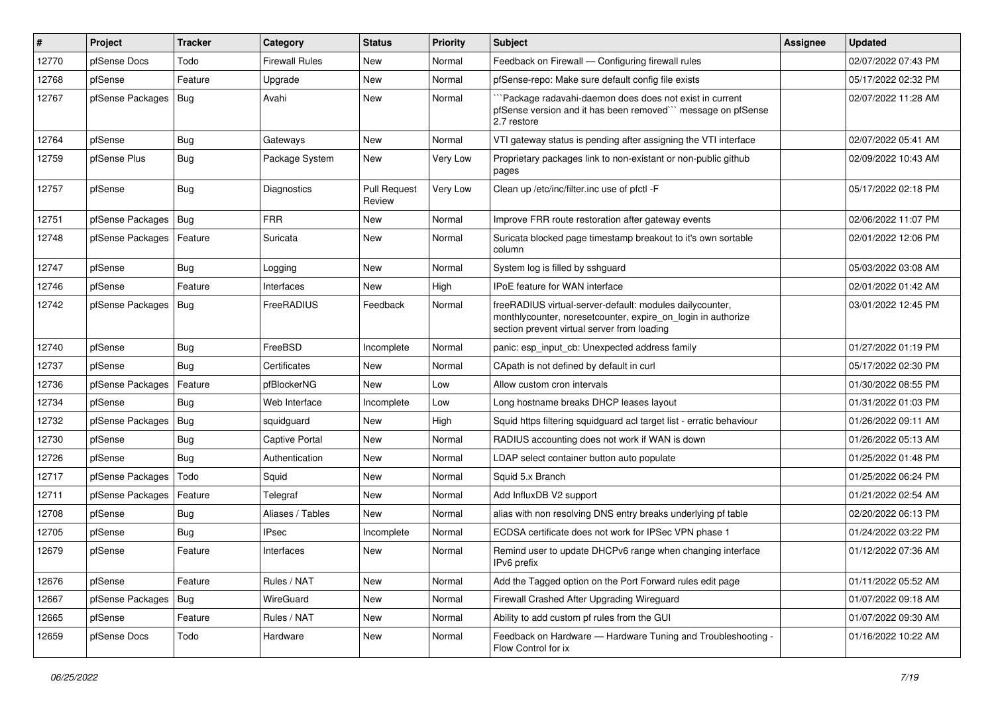| $\vert$ # | Project          | <b>Tracker</b> | Category              | <b>Status</b>                 | <b>Priority</b> | Subject                                                                                                                                                                 | <b>Assignee</b> | <b>Updated</b>      |
|-----------|------------------|----------------|-----------------------|-------------------------------|-----------------|-------------------------------------------------------------------------------------------------------------------------------------------------------------------------|-----------------|---------------------|
| 12770     | pfSense Docs     | Todo           | <b>Firewall Rules</b> | New                           | Normal          | Feedback on Firewall — Configuring firewall rules                                                                                                                       |                 | 02/07/2022 07:43 PM |
| 12768     | pfSense          | Feature        | Upgrade               | <b>New</b>                    | Normal          | pfSense-repo: Make sure default config file exists                                                                                                                      |                 | 05/17/2022 02:32 PM |
| 12767     | pfSense Packages | Bug            | Avahi                 | <b>New</b>                    | Normal          | `Package radavahi-daemon does does not exist in current<br>pfSense version and it has been removed"" message on pfSense<br>2.7 restore                                  |                 | 02/07/2022 11:28 AM |
| 12764     | pfSense          | Bug            | Gateways              | New                           | Normal          | VTI gateway status is pending after assigning the VTI interface                                                                                                         |                 | 02/07/2022 05:41 AM |
| 12759     | pfSense Plus     | Bug            | Package System        | New                           | Very Low        | Proprietary packages link to non-existant or non-public github<br>pages                                                                                                 |                 | 02/09/2022 10:43 AM |
| 12757     | pfSense          | Bug            | Diagnostics           | <b>Pull Request</b><br>Review | Very Low        | Clean up /etc/inc/filter.inc use of pfctl -F                                                                                                                            |                 | 05/17/2022 02:18 PM |
| 12751     | pfSense Packages | Bug            | <b>FRR</b>            | <b>New</b>                    | Normal          | Improve FRR route restoration after gateway events                                                                                                                      |                 | 02/06/2022 11:07 PM |
| 12748     | pfSense Packages | Feature        | Suricata              | New                           | Normal          | Suricata blocked page timestamp breakout to it's own sortable<br>column                                                                                                 |                 | 02/01/2022 12:06 PM |
| 12747     | pfSense          | Bug            | Logging               | New                           | Normal          | System log is filled by sshguard                                                                                                                                        |                 | 05/03/2022 03:08 AM |
| 12746     | pfSense          | Feature        | Interfaces            | New                           | High            | <b>IPoE</b> feature for WAN interface                                                                                                                                   |                 | 02/01/2022 01:42 AM |
| 12742     | pfSense Packages | Bug            | FreeRADIUS            | Feedback                      | Normal          | freeRADIUS virtual-server-default: modules dailycounter,<br>monthlycounter, noresetcounter, expire_on_login in authorize<br>section prevent virtual server from loading |                 | 03/01/2022 12:45 PM |
| 12740     | pfSense          | Bug            | FreeBSD               | Incomplete                    | Normal          | panic: esp input cb: Unexpected address family                                                                                                                          |                 | 01/27/2022 01:19 PM |
| 12737     | pfSense          | Bug            | Certificates          | New                           | Normal          | CApath is not defined by default in curl                                                                                                                                |                 | 05/17/2022 02:30 PM |
| 12736     | pfSense Packages | Feature        | pfBlockerNG           | New                           | Low             | Allow custom cron intervals                                                                                                                                             |                 | 01/30/2022 08:55 PM |
| 12734     | pfSense          | Bug            | Web Interface         | Incomplete                    | Low             | Long hostname breaks DHCP leases layout                                                                                                                                 |                 | 01/31/2022 01:03 PM |
| 12732     | pfSense Packages | Bug            | squidguard            | New                           | High            | Squid https filtering squidguard acl target list - erratic behaviour                                                                                                    |                 | 01/26/2022 09:11 AM |
| 12730     | pfSense          | Bug            | <b>Captive Portal</b> | <b>New</b>                    | Normal          | RADIUS accounting does not work if WAN is down                                                                                                                          |                 | 01/26/2022 05:13 AM |
| 12726     | pfSense          | Bug            | Authentication        | New                           | Normal          | LDAP select container button auto populate                                                                                                                              |                 | 01/25/2022 01:48 PM |
| 12717     | pfSense Packages | Todo           | Squid                 | New                           | Normal          | Squid 5.x Branch                                                                                                                                                        |                 | 01/25/2022 06:24 PM |
| 12711     | pfSense Packages | Feature        | Telegraf              | <b>New</b>                    | Normal          | Add InfluxDB V2 support                                                                                                                                                 |                 | 01/21/2022 02:54 AM |
| 12708     | pfSense          | Bug            | Aliases / Tables      | <b>New</b>                    | Normal          | alias with non resolving DNS entry breaks underlying pf table                                                                                                           |                 | 02/20/2022 06:13 PM |
| 12705     | pfSense          | Bug            | <b>IPsec</b>          | Incomplete                    | Normal          | ECDSA certificate does not work for IPSec VPN phase 1                                                                                                                   |                 | 01/24/2022 03:22 PM |
| 12679     | pfSense          | Feature        | Interfaces            | New                           | Normal          | Remind user to update DHCPv6 range when changing interface<br>IPv6 prefix                                                                                               |                 | 01/12/2022 07:36 AM |
| 12676     | pfSense          | Feature        | Rules / NAT           | New                           | Normal          | Add the Tagged option on the Port Forward rules edit page                                                                                                               |                 | 01/11/2022 05:52 AM |
| 12667     | pfSense Packages | Bug            | WireGuard             | New                           | Normal          | Firewall Crashed After Upgrading Wireguard                                                                                                                              |                 | 01/07/2022 09:18 AM |
| 12665     | pfSense          | Feature        | Rules / NAT           | New                           | Normal          | Ability to add custom pf rules from the GUI                                                                                                                             |                 | 01/07/2022 09:30 AM |
| 12659     | pfSense Docs     | Todo           | Hardware              | New                           | Normal          | Feedback on Hardware - Hardware Tuning and Troubleshooting -<br>Flow Control for ix                                                                                     |                 | 01/16/2022 10:22 AM |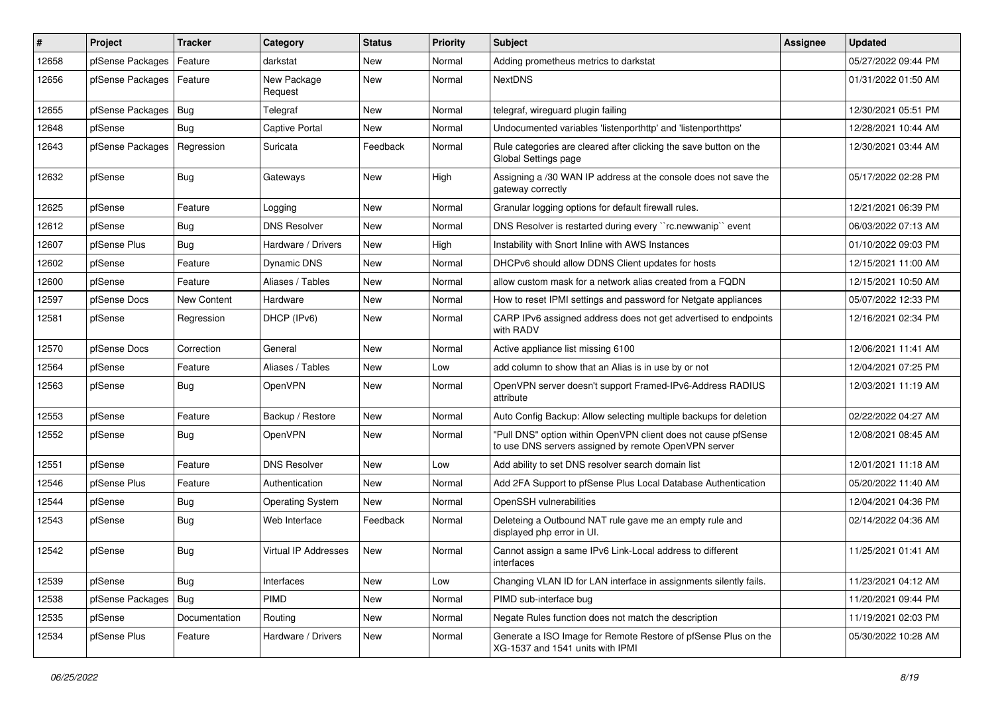| $\vert$ # | Project          | <b>Tracker</b> | Category                | <b>Status</b> | <b>Priority</b> | Subject                                                                                                                | <b>Assignee</b> | <b>Updated</b>      |
|-----------|------------------|----------------|-------------------------|---------------|-----------------|------------------------------------------------------------------------------------------------------------------------|-----------------|---------------------|
| 12658     | pfSense Packages | Feature        | darkstat                | New           | Normal          | Adding prometheus metrics to darkstat                                                                                  |                 | 05/27/2022 09:44 PM |
| 12656     | pfSense Packages | Feature        | New Package<br>Request  | New           | Normal          | <b>NextDNS</b>                                                                                                         |                 | 01/31/2022 01:50 AM |
| 12655     | pfSense Packages | Bug            | Telegraf                | <b>New</b>    | Normal          | telegraf, wireguard plugin failing                                                                                     |                 | 12/30/2021 05:51 PM |
| 12648     | pfSense          | Bug            | <b>Captive Portal</b>   | New           | Normal          | Undocumented variables 'listenporthttp' and 'listenporthttps'                                                          |                 | 12/28/2021 10:44 AM |
| 12643     | pfSense Packages | Regression     | Suricata                | Feedback      | Normal          | Rule categories are cleared after clicking the save button on the<br>Global Settings page                              |                 | 12/30/2021 03:44 AM |
| 12632     | pfSense          | <b>Bug</b>     | Gateways                | New           | High            | Assigning a /30 WAN IP address at the console does not save the<br>gateway correctly                                   |                 | 05/17/2022 02:28 PM |
| 12625     | pfSense          | Feature        | Logging                 | <b>New</b>    | Normal          | Granular logging options for default firewall rules.                                                                   |                 | 12/21/2021 06:39 PM |
| 12612     | pfSense          | Bug            | <b>DNS Resolver</b>     | New           | Normal          | DNS Resolver is restarted during every "rc.newwanip" event                                                             |                 | 06/03/2022 07:13 AM |
| 12607     | pfSense Plus     | Bug            | Hardware / Drivers      | New           | High            | Instability with Snort Inline with AWS Instances                                                                       |                 | 01/10/2022 09:03 PM |
| 12602     | pfSense          | Feature        | <b>Dynamic DNS</b>      | <b>New</b>    | Normal          | DHCPv6 should allow DDNS Client updates for hosts                                                                      |                 | 12/15/2021 11:00 AM |
| 12600     | pfSense          | Feature        | Aliases / Tables        | New           | Normal          | allow custom mask for a network alias created from a FQDN                                                              |                 | 12/15/2021 10:50 AM |
| 12597     | pfSense Docs     | New Content    | Hardware                | <b>New</b>    | Normal          | How to reset IPMI settings and password for Netgate appliances                                                         |                 | 05/07/2022 12:33 PM |
| 12581     | pfSense          | Regression     | DHCP (IPv6)             | <b>New</b>    | Normal          | CARP IPv6 assigned address does not get advertised to endpoints<br>with RADV                                           |                 | 12/16/2021 02:34 PM |
| 12570     | pfSense Docs     | Correction     | General                 | <b>New</b>    | Normal          | Active appliance list missing 6100                                                                                     |                 | 12/06/2021 11:41 AM |
| 12564     | pfSense          | Feature        | Aliases / Tables        | New           | Low             | add column to show that an Alias is in use by or not                                                                   |                 | 12/04/2021 07:25 PM |
| 12563     | pfSense          | Bug            | OpenVPN                 | <b>New</b>    | Normal          | OpenVPN server doesn't support Framed-IPv6-Address RADIUS<br>attribute                                                 |                 | 12/03/2021 11:19 AM |
| 12553     | pfSense          | Feature        | Backup / Restore        | New           | Normal          | Auto Config Backup: Allow selecting multiple backups for deletion                                                      |                 | 02/22/2022 04:27 AM |
| 12552     | pfSense          | Bug            | OpenVPN                 | New           | Normal          | "Pull DNS" option within OpenVPN client does not cause pfSense<br>to use DNS servers assigned by remote OpenVPN server |                 | 12/08/2021 08:45 AM |
| 12551     | pfSense          | Feature        | <b>DNS Resolver</b>     | <b>New</b>    | Low             | Add ability to set DNS resolver search domain list                                                                     |                 | 12/01/2021 11:18 AM |
| 12546     | pfSense Plus     | Feature        | Authentication          | <b>New</b>    | Normal          | Add 2FA Support to pfSense Plus Local Database Authentication                                                          |                 | 05/20/2022 11:40 AM |
| 12544     | pfSense          | Bug            | <b>Operating System</b> | New           | Normal          | OpenSSH vulnerabilities                                                                                                |                 | 12/04/2021 04:36 PM |
| 12543     | pfSense          | Bug            | Web Interface           | Feedback      | Normal          | Deleteing a Outbound NAT rule gave me an empty rule and<br>displayed php error in UI.                                  |                 | 02/14/2022 04:36 AM |
| 12542     | pfSense          | Bug            | Virtual IP Addresses    | New           | Normal          | Cannot assign a same IPv6 Link-Local address to different<br>ıntertaces                                                |                 | 11/25/2021 01:41 AM |
| 12539     | pfSense          | <b>Bug</b>     | Interfaces              | New           | Low             | Changing VLAN ID for LAN interface in assignments silently fails.                                                      |                 | 11/23/2021 04:12 AM |
| 12538     | pfSense Packages | <b>Bug</b>     | PIMD                    | New           | Normal          | PIMD sub-interface bug                                                                                                 |                 | 11/20/2021 09:44 PM |
| 12535     | pfSense          | Documentation  | Routing                 | New           | Normal          | Negate Rules function does not match the description                                                                   |                 | 11/19/2021 02:03 PM |
| 12534     | pfSense Plus     | Feature        | Hardware / Drivers      | New           | Normal          | Generate a ISO Image for Remote Restore of pfSense Plus on the<br>XG-1537 and 1541 units with IPMI                     |                 | 05/30/2022 10:28 AM |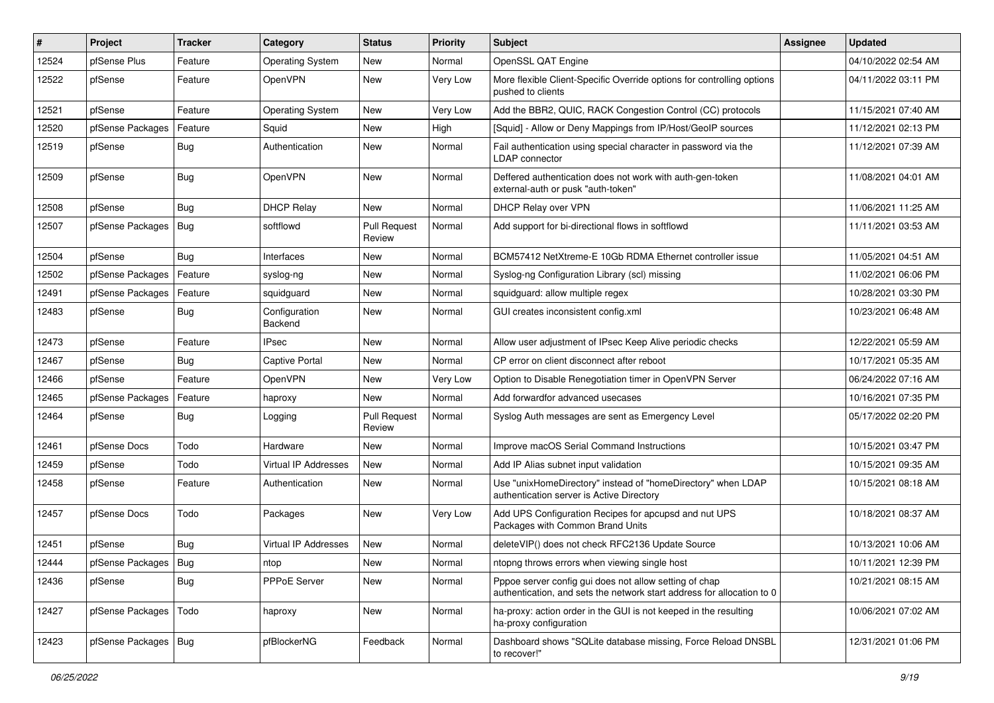| #     | Project                | <b>Tracker</b> | Category                    | <b>Status</b>                 | <b>Priority</b> | Subject                                                                                                                          | <b>Assignee</b> | <b>Updated</b>      |
|-------|------------------------|----------------|-----------------------------|-------------------------------|-----------------|----------------------------------------------------------------------------------------------------------------------------------|-----------------|---------------------|
| 12524 | pfSense Plus           | Feature        | <b>Operating System</b>     | New                           | Normal          | OpenSSL QAT Engine                                                                                                               |                 | 04/10/2022 02:54 AM |
| 12522 | pfSense                | Feature        | OpenVPN                     | New                           | Very Low        | More flexible Client-Specific Override options for controlling options<br>pushed to clients                                      |                 | 04/11/2022 03:11 PM |
| 12521 | pfSense                | Feature        | <b>Operating System</b>     | New                           | Very Low        | Add the BBR2, QUIC, RACK Congestion Control (CC) protocols                                                                       |                 | 11/15/2021 07:40 AM |
| 12520 | pfSense Packages       | Feature        | Squid                       | <b>New</b>                    | High            | [Squid] - Allow or Deny Mappings from IP/Host/GeoIP sources                                                                      |                 | 11/12/2021 02:13 PM |
| 12519 | pfSense                | Bug            | Authentication              | New                           | Normal          | Fail authentication using special character in password via the<br>LDAP connector                                                |                 | 11/12/2021 07:39 AM |
| 12509 | pfSense                | Bug            | OpenVPN                     | <b>New</b>                    | Normal          | Deffered authentication does not work with auth-gen-token<br>external-auth or pusk "auth-token"                                  |                 | 11/08/2021 04:01 AM |
| 12508 | pfSense                | Bug            | <b>DHCP Relay</b>           | <b>New</b>                    | Normal          | DHCP Relay over VPN                                                                                                              |                 | 11/06/2021 11:25 AM |
| 12507 | pfSense Packages       | Bug            | softflowd                   | <b>Pull Request</b><br>Review | Normal          | Add support for bi-directional flows in softflowd                                                                                |                 | 11/11/2021 03:53 AM |
| 12504 | pfSense                | Bug            | Interfaces                  | New                           | Normal          | BCM57412 NetXtreme-E 10Gb RDMA Ethernet controller issue                                                                         |                 | 11/05/2021 04:51 AM |
| 12502 | pfSense Packages       | Feature        | syslog-ng                   | New                           | Normal          | Syslog-ng Configuration Library (scl) missing                                                                                    |                 | 11/02/2021 06:06 PM |
| 12491 | pfSense Packages       | Feature        | squidguard                  | New                           | Normal          | squidguard: allow multiple regex                                                                                                 |                 | 10/28/2021 03:30 PM |
| 12483 | pfSense                | Bug            | Configuration<br>Backend    | <b>New</b>                    | Normal          | GUI creates inconsistent config.xml                                                                                              |                 | 10/23/2021 06:48 AM |
| 12473 | pfSense                | Feature        | <b>IPsec</b>                | <b>New</b>                    | Normal          | Allow user adjustment of IPsec Keep Alive periodic checks                                                                        |                 | 12/22/2021 05:59 AM |
| 12467 | pfSense                | Bug            | Captive Portal              | New                           | Normal          | CP error on client disconnect after reboot                                                                                       |                 | 10/17/2021 05:35 AM |
| 12466 | pfSense                | Feature        | OpenVPN                     | New                           | Very Low        | Option to Disable Renegotiation timer in OpenVPN Server                                                                          |                 | 06/24/2022 07:16 AM |
| 12465 | pfSense Packages       | Feature        | haproxy                     | <b>New</b>                    | Normal          | Add forwardfor advanced usecases                                                                                                 |                 | 10/16/2021 07:35 PM |
| 12464 | pfSense                | Bug            | Logging                     | <b>Pull Request</b><br>Review | Normal          | Syslog Auth messages are sent as Emergency Level                                                                                 |                 | 05/17/2022 02:20 PM |
| 12461 | pfSense Docs           | Todo           | Hardware                    | <b>New</b>                    | Normal          | Improve macOS Serial Command Instructions                                                                                        |                 | 10/15/2021 03:47 PM |
| 12459 | pfSense                | Todo           | <b>Virtual IP Addresses</b> | New                           | Normal          | Add IP Alias subnet input validation                                                                                             |                 | 10/15/2021 09:35 AM |
| 12458 | pfSense                | Feature        | Authentication              | New                           | Normal          | Use "unixHomeDirectory" instead of "homeDirectory" when LDAP<br>authentication server is Active Directory                        |                 | 10/15/2021 08:18 AM |
| 12457 | pfSense Docs           | Todo           | Packages                    | <b>New</b>                    | Very Low        | Add UPS Configuration Recipes for apcupsd and nut UPS<br>Packages with Common Brand Units                                        |                 | 10/18/2021 08:37 AM |
| 12451 | pfSense                | Bug            | Virtual IP Addresses        | <b>New</b>                    | Normal          | deleteVIP() does not check RFC2136 Update Source                                                                                 |                 | 10/13/2021 10:06 AM |
| 12444 | pfSense Packages   Bug |                | ntop                        | New                           | Normal          | ntopng throws errors when viewing single host                                                                                    |                 | 10/11/2021 12:39 PM |
| 12436 | pfSense                | Bug            | PPPoE Server                | New                           | Normal          | Pppoe server config gui does not allow setting of chap<br>authentication, and sets the network start address for allocation to 0 |                 | 10/21/2021 08:15 AM |
| 12427 | pfSense Packages       | Todo           | haproxy                     | New                           | Normal          | ha-proxy: action order in the GUI is not keeped in the resulting<br>ha-proxy configuration                                       |                 | 10/06/2021 07:02 AM |
| 12423 | pfSense Packages   Bug |                | pfBlockerNG                 | Feedback                      | Normal          | Dashboard shows "SQLite database missing, Force Reload DNSBL<br>to recover!"                                                     |                 | 12/31/2021 01:06 PM |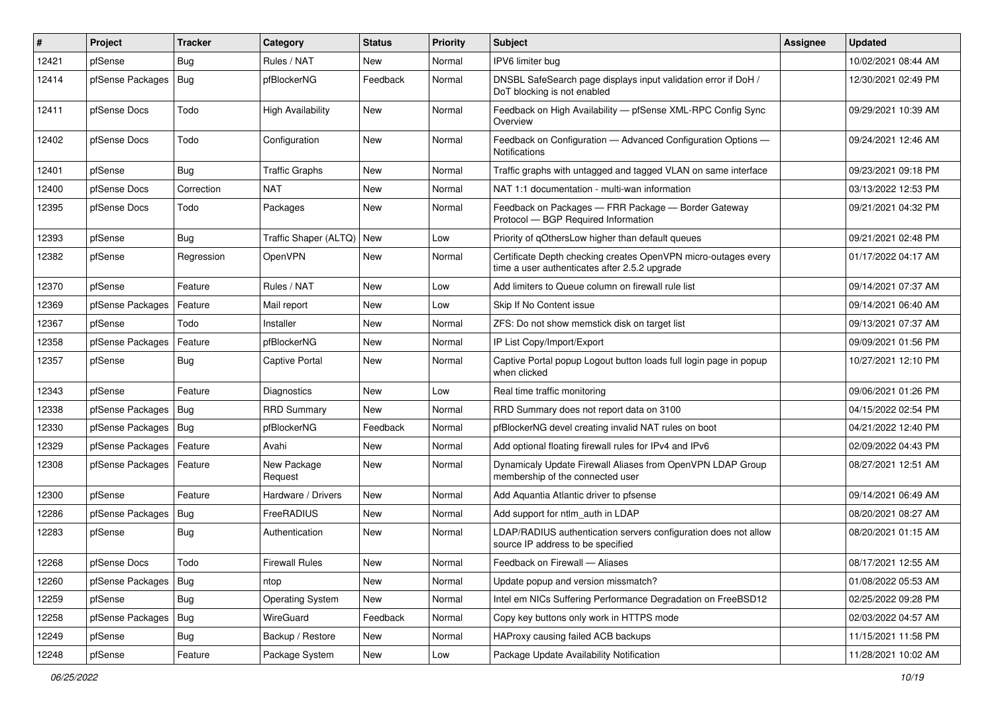| #     | Project                | <b>Tracker</b> | Category                 | <b>Status</b> | <b>Priority</b> | <b>Subject</b>                                                                                                  | <b>Assignee</b> | <b>Updated</b>      |
|-------|------------------------|----------------|--------------------------|---------------|-----------------|-----------------------------------------------------------------------------------------------------------------|-----------------|---------------------|
| 12421 | pfSense                | Bug            | Rules / NAT              | New           | Normal          | IPV6 limiter bug                                                                                                |                 | 10/02/2021 08:44 AM |
| 12414 | pfSense Packages       | Bug            | pfBlockerNG              | Feedback      | Normal          | DNSBL SafeSearch page displays input validation error if DoH /<br>DoT blocking is not enabled                   |                 | 12/30/2021 02:49 PM |
| 12411 | pfSense Docs           | Todo           | <b>High Availability</b> | New           | Normal          | Feedback on High Availability - pfSense XML-RPC Config Sync<br>Overview                                         |                 | 09/29/2021 10:39 AM |
| 12402 | pfSense Docs           | Todo           | Configuration            | New           | Normal          | Feedback on Configuration - Advanced Configuration Options -<br>Notifications                                   |                 | 09/24/2021 12:46 AM |
| 12401 | pfSense                | Bug            | <b>Traffic Graphs</b>    | <b>New</b>    | Normal          | Traffic graphs with untagged and tagged VLAN on same interface                                                  |                 | 09/23/2021 09:18 PM |
| 12400 | pfSense Docs           | Correction     | <b>NAT</b>               | New           | Normal          | NAT 1:1 documentation - multi-wan information                                                                   |                 | 03/13/2022 12:53 PM |
| 12395 | pfSense Docs           | Todo           | Packages                 | New           | Normal          | Feedback on Packages - FRR Package - Border Gateway<br>Protocol - BGP Required Information                      |                 | 09/21/2021 04:32 PM |
| 12393 | pfSense                | Bug            | Traffic Shaper (ALTQ)    | New           | Low             | Priority of gOthersLow higher than default queues                                                               |                 | 09/21/2021 02:48 PM |
| 12382 | pfSense                | Regression     | OpenVPN                  | New           | Normal          | Certificate Depth checking creates OpenVPN micro-outages every<br>time a user authenticates after 2.5.2 upgrade |                 | 01/17/2022 04:17 AM |
| 12370 | pfSense                | Feature        | Rules / NAT              | New           | Low             | Add limiters to Queue column on firewall rule list                                                              |                 | 09/14/2021 07:37 AM |
| 12369 | pfSense Packages       | Feature        | Mail report              | New           | Low             | Skip If No Content issue                                                                                        |                 | 09/14/2021 06:40 AM |
| 12367 | pfSense                | Todo           | Installer                | New           | Normal          | ZFS: Do not show memstick disk on target list                                                                   |                 | 09/13/2021 07:37 AM |
| 12358 | pfSense Packages       | Feature        | pfBlockerNG              | New           | Normal          | IP List Copy/Import/Export                                                                                      |                 | 09/09/2021 01:56 PM |
| 12357 | pfSense                | <b>Bug</b>     | Captive Portal           | <b>New</b>    | Normal          | Captive Portal popup Logout button loads full login page in popup<br>when clicked                               |                 | 10/27/2021 12:10 PM |
| 12343 | pfSense                | Feature        | Diagnostics              | <b>New</b>    | Low             | Real time traffic monitoring                                                                                    |                 | 09/06/2021 01:26 PM |
| 12338 | pfSense Packages       | Bug            | <b>RRD Summary</b>       | New           | Normal          | RRD Summary does not report data on 3100                                                                        |                 | 04/15/2022 02:54 PM |
| 12330 | pfSense Packages   Bug |                | pfBlockerNG              | Feedback      | Normal          | pfBlockerNG devel creating invalid NAT rules on boot                                                            |                 | 04/21/2022 12:40 PM |
| 12329 | pfSense Packages       | Feature        | Avahi                    | <b>New</b>    | Normal          | Add optional floating firewall rules for IPv4 and IPv6                                                          |                 | 02/09/2022 04:43 PM |
| 12308 | pfSense Packages       | Feature        | New Package<br>Request   | New           | Normal          | Dynamicaly Update Firewall Aliases from OpenVPN LDAP Group<br>membership of the connected user                  |                 | 08/27/2021 12:51 AM |
| 12300 | pfSense                | Feature        | Hardware / Drivers       | <b>New</b>    | Normal          | Add Aquantia Atlantic driver to pfsense                                                                         |                 | 09/14/2021 06:49 AM |
| 12286 | pfSense Packages       | Bug            | FreeRADIUS               | New           | Normal          | Add support for ntlm auth in LDAP                                                                               |                 | 08/20/2021 08:27 AM |
| 12283 | pfSense                | Bug            | Authentication           | New           | Normal          | LDAP/RADIUS authentication servers configuration does not allow<br>source IP address to be specified            |                 | 08/20/2021 01:15 AM |
| 12268 | pfSense Docs           | Todo           | <b>Firewall Rules</b>    | New           | Normal          | Feedback on Firewall - Aliases                                                                                  |                 | 08/17/2021 12:55 AM |
| 12260 | pfSense Packages       | Bug            | ntop                     | New           | Normal          | Update popup and version missmatch?                                                                             |                 | 01/08/2022 05:53 AM |
| 12259 | pfSense                | <b>Bug</b>     | <b>Operating System</b>  | New           | Normal          | Intel em NICs Suffering Performance Degradation on FreeBSD12                                                    |                 | 02/25/2022 09:28 PM |
| 12258 | pfSense Packages       | Bug            | WireGuard                | Feedback      | Normal          | Copy key buttons only work in HTTPS mode                                                                        |                 | 02/03/2022 04:57 AM |
| 12249 | pfSense                | <b>Bug</b>     | Backup / Restore         | New           | Normal          | HAProxy causing failed ACB backups                                                                              |                 | 11/15/2021 11:58 PM |
| 12248 | pfSense                | Feature        | Package System           | New           | Low             | Package Update Availability Notification                                                                        |                 | 11/28/2021 10:02 AM |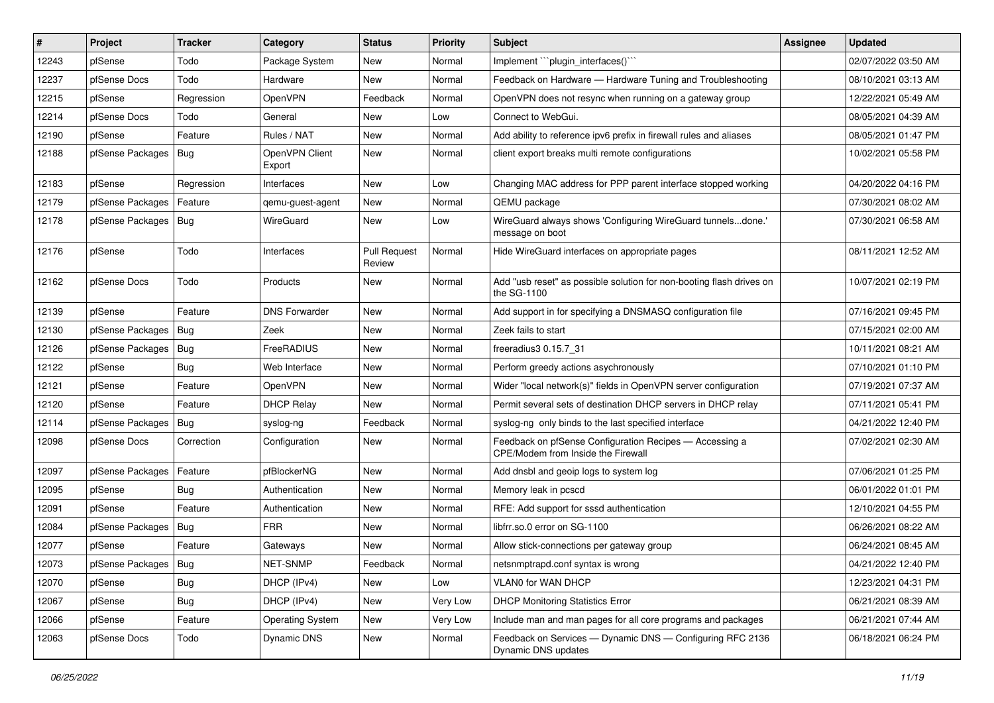| $\sharp$ | Project                | <b>Tracker</b> | Category                 | <b>Status</b>                 | <b>Priority</b> | Subject                                                                                       | <b>Assignee</b> | <b>Updated</b>      |
|----------|------------------------|----------------|--------------------------|-------------------------------|-----------------|-----------------------------------------------------------------------------------------------|-----------------|---------------------|
| 12243    | pfSense                | Todo           | Package System           | New                           | Normal          | Implement "plugin_interfaces()"                                                               |                 | 02/07/2022 03:50 AM |
| 12237    | pfSense Docs           | Todo           | Hardware                 | <b>New</b>                    | Normal          | Feedback on Hardware - Hardware Tuning and Troubleshooting                                    |                 | 08/10/2021 03:13 AM |
| 12215    | pfSense                | Regression     | <b>OpenVPN</b>           | Feedback                      | Normal          | OpenVPN does not resync when running on a gateway group                                       |                 | 12/22/2021 05:49 AM |
| 12214    | pfSense Docs           | Todo           | General                  | New                           | Low             | Connect to WebGui.                                                                            |                 | 08/05/2021 04:39 AM |
| 12190    | pfSense                | Feature        | Rules / NAT              | <b>New</b>                    | Normal          | Add ability to reference ipv6 prefix in firewall rules and aliases                            |                 | 08/05/2021 01:47 PM |
| 12188    | pfSense Packages       | Bug            | OpenVPN Client<br>Export | <b>New</b>                    | Normal          | client export breaks multi remote configurations                                              |                 | 10/02/2021 05:58 PM |
| 12183    | pfSense                | Regression     | Interfaces               | <b>New</b>                    | Low             | Changing MAC address for PPP parent interface stopped working                                 |                 | 04/20/2022 04:16 PM |
| 12179    | pfSense Packages       | Feature        | qemu-guest-agent         | New                           | Normal          | QEMU package                                                                                  |                 | 07/30/2021 08:02 AM |
| 12178    | pfSense Packages   Bug |                | WireGuard                | <b>New</b>                    | Low             | WireGuard always shows 'Configuring WireGuard tunnelsdone.'<br>message on boot                |                 | 07/30/2021 06:58 AM |
| 12176    | pfSense                | Todo           | Interfaces               | <b>Pull Request</b><br>Review | Normal          | Hide WireGuard interfaces on appropriate pages                                                |                 | 08/11/2021 12:52 AM |
| 12162    | pfSense Docs           | Todo           | Products                 | <b>New</b>                    | Normal          | Add "usb reset" as possible solution for non-booting flash drives on<br>the SG-1100           |                 | 10/07/2021 02:19 PM |
| 12139    | pfSense                | Feature        | <b>DNS Forwarder</b>     | <b>New</b>                    | Normal          | Add support in for specifying a DNSMASQ configuration file                                    |                 | 07/16/2021 09:45 PM |
| 12130    | pfSense Packages       | Bug            | Zeek                     | <b>New</b>                    | Normal          | Zeek fails to start                                                                           |                 | 07/15/2021 02:00 AM |
| 12126    | pfSense Packages       | Bug            | FreeRADIUS               | New                           | Normal          | freeradius3 0.15.7 31                                                                         |                 | 10/11/2021 08:21 AM |
| 12122    | pfSense                | Bug            | Web Interface            | New                           | Normal          | Perform greedy actions asychronously                                                          |                 | 07/10/2021 01:10 PM |
| 12121    | pfSense                | Feature        | <b>OpenVPN</b>           | <b>New</b>                    | Normal          | Wider "local network(s)" fields in OpenVPN server configuration                               |                 | 07/19/2021 07:37 AM |
| 12120    | pfSense                | Feature        | <b>DHCP Relay</b>        | <b>New</b>                    | Normal          | Permit several sets of destination DHCP servers in DHCP relay                                 |                 | 07/11/2021 05:41 PM |
| 12114    | pfSense Packages       | Bug            | syslog-ng                | Feedback                      | Normal          | syslog-ng only binds to the last specified interface                                          |                 | 04/21/2022 12:40 PM |
| 12098    | pfSense Docs           | Correction     | Configuration            | New                           | Normal          | Feedback on pfSense Configuration Recipes - Accessing a<br>CPE/Modem from Inside the Firewall |                 | 07/02/2021 02:30 AM |
| 12097    | pfSense Packages       | Feature        | pfBlockerNG              | <b>New</b>                    | Normal          | Add dnsbl and geoip logs to system log                                                        |                 | 07/06/2021 01:25 PM |
| 12095    | pfSense                | Bug            | Authentication           | <b>New</b>                    | Normal          | Memory leak in pcscd                                                                          |                 | 06/01/2022 01:01 PM |
| 12091    | pfSense                | Feature        | Authentication           | New                           | Normal          | RFE: Add support for sssd authentication                                                      |                 | 12/10/2021 04:55 PM |
| 12084    | pfSense Packages       | Bug            | <b>FRR</b>               | <b>New</b>                    | Normal          | libfrr.so.0 error on SG-1100                                                                  |                 | 06/26/2021 08:22 AM |
| 12077    | pfSense                | Feature        | Gateways                 | New                           | Normal          | Allow stick-connections per gateway group                                                     |                 | 06/24/2021 08:45 AM |
| 12073    | pfSense Packages   Bug |                | NET-SNMP                 | Feedback                      | Normal          | netsnmptrapd.conf syntax is wrong                                                             |                 | 04/21/2022 12:40 PM |
| 12070    | pfSense                | Bug            | DHCP (IPv4)              | New                           | Low             | VLAN0 for WAN DHCP                                                                            |                 | 12/23/2021 04:31 PM |
| 12067    | pfSense                | <b>Bug</b>     | DHCP (IPv4)              | New                           | Very Low        | <b>DHCP Monitoring Statistics Error</b>                                                       |                 | 06/21/2021 08:39 AM |
| 12066    | pfSense                | Feature        | <b>Operating System</b>  | New                           | Very Low        | Include man and man pages for all core programs and packages                                  |                 | 06/21/2021 07:44 AM |
| 12063    | pfSense Docs           | Todo           | <b>Dynamic DNS</b>       | New                           | Normal          | Feedback on Services - Dynamic DNS - Configuring RFC 2136<br>Dynamic DNS updates              |                 | 06/18/2021 06:24 PM |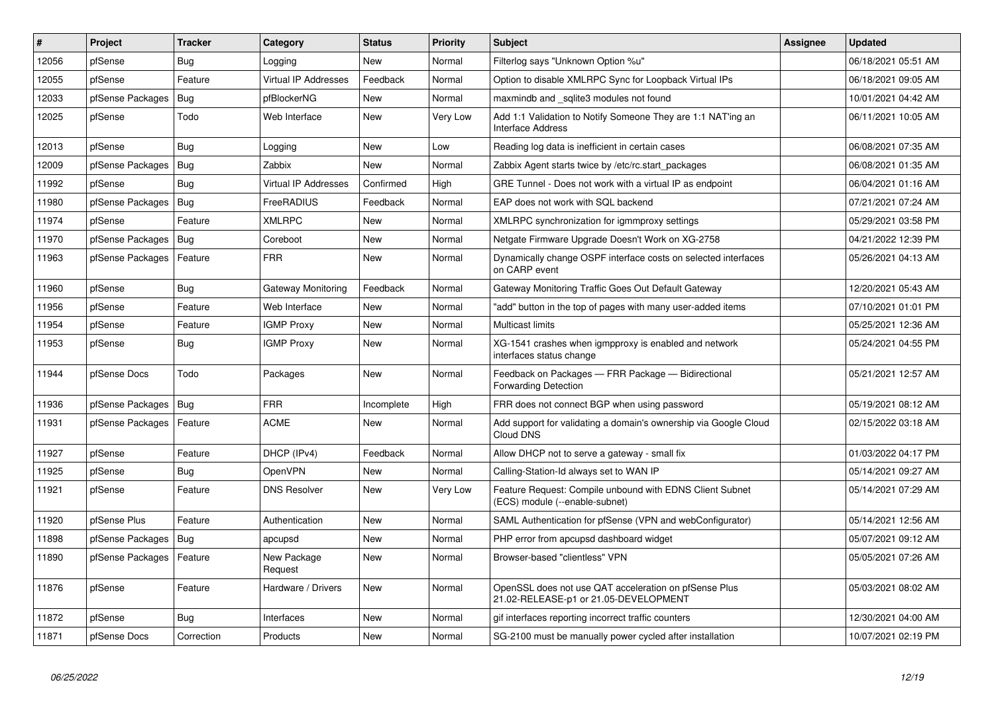| #     | Project          | <b>Tracker</b> | Category                    | <b>Status</b> | <b>Priority</b> | <b>Subject</b>                                                                                 | <b>Assignee</b> | <b>Updated</b>      |
|-------|------------------|----------------|-----------------------------|---------------|-----------------|------------------------------------------------------------------------------------------------|-----------------|---------------------|
| 12056 | pfSense          | <b>Bug</b>     | Logging                     | <b>New</b>    | Normal          | Filterlog says "Unknown Option %u"                                                             |                 | 06/18/2021 05:51 AM |
| 12055 | pfSense          | Feature        | <b>Virtual IP Addresses</b> | Feedback      | Normal          | Option to disable XMLRPC Sync for Loopback Virtual IPs                                         |                 | 06/18/2021 09:05 AM |
| 12033 | pfSense Packages | Bug            | pfBlockerNG                 | <b>New</b>    | Normal          | maxmindb and sqlite3 modules not found                                                         |                 | 10/01/2021 04:42 AM |
| 12025 | pfSense          | Todo           | Web Interface               | <b>New</b>    | Very Low        | Add 1:1 Validation to Notify Someone They are 1:1 NAT'ing an<br><b>Interface Address</b>       |                 | 06/11/2021 10:05 AM |
| 12013 | pfSense          | <b>Bug</b>     | Logging                     | <b>New</b>    | Low             | Reading log data is inefficient in certain cases                                               |                 | 06/08/2021 07:35 AM |
| 12009 | pfSense Packages | <b>Bug</b>     | Zabbix                      | <b>New</b>    | Normal          | Zabbix Agent starts twice by /etc/rc.start packages                                            |                 | 06/08/2021 01:35 AM |
| 11992 | pfSense          | <b>Bug</b>     | <b>Virtual IP Addresses</b> | Confirmed     | High            | GRE Tunnel - Does not work with a virtual IP as endpoint                                       |                 | 06/04/2021 01:16 AM |
| 11980 | pfSense Packages | Bug            | FreeRADIUS                  | Feedback      | Normal          | EAP does not work with SQL backend                                                             |                 | 07/21/2021 07:24 AM |
| 11974 | pfSense          | Feature        | <b>XMLRPC</b>               | <b>New</b>    | Normal          | XMLRPC synchronization for igmmproxy settings                                                  |                 | 05/29/2021 03:58 PM |
| 11970 | pfSense Packages | Bug            | Coreboot                    | New           | Normal          | Netgate Firmware Upgrade Doesn't Work on XG-2758                                               |                 | 04/21/2022 12:39 PM |
| 11963 | pfSense Packages | Feature        | <b>FRR</b>                  | <b>New</b>    | Normal          | Dynamically change OSPF interface costs on selected interfaces<br>on CARP event                |                 | 05/26/2021 04:13 AM |
| 11960 | pfSense          | Bug            | Gateway Monitoring          | Feedback      | Normal          | Gateway Monitoring Traffic Goes Out Default Gateway                                            |                 | 12/20/2021 05:43 AM |
| 11956 | pfSense          | Feature        | Web Interface               | <b>New</b>    | Normal          | "add" button in the top of pages with many user-added items                                    |                 | 07/10/2021 01:01 PM |
| 11954 | pfSense          | Feature        | <b>IGMP Proxy</b>           | <b>New</b>    | Normal          | <b>Multicast limits</b>                                                                        |                 | 05/25/2021 12:36 AM |
| 11953 | pfSense          | Bug            | <b>IGMP Proxy</b>           | <b>New</b>    | Normal          | XG-1541 crashes when igmpproxy is enabled and network<br>interfaces status change              |                 | 05/24/2021 04:55 PM |
| 11944 | pfSense Docs     | Todo           | Packages                    | <b>New</b>    | Normal          | Feedback on Packages - FRR Package - Bidirectional<br><b>Forwarding Detection</b>              |                 | 05/21/2021 12:57 AM |
| 11936 | pfSense Packages | <b>Bug</b>     | <b>FRR</b>                  | Incomplete    | High            | FRR does not connect BGP when using password                                                   |                 | 05/19/2021 08:12 AM |
| 11931 | pfSense Packages | Feature        | <b>ACME</b>                 | <b>New</b>    | Normal          | Add support for validating a domain's ownership via Google Cloud<br>Cloud DNS                  |                 | 02/15/2022 03:18 AM |
| 11927 | pfSense          | Feature        | DHCP (IPv4)                 | Feedback      | Normal          | Allow DHCP not to serve a gateway - small fix                                                  |                 | 01/03/2022 04:17 PM |
| 11925 | pfSense          | Bug            | OpenVPN                     | <b>New</b>    | Normal          | Calling-Station-Id always set to WAN IP                                                        |                 | 05/14/2021 09:27 AM |
| 11921 | pfSense          | Feature        | <b>DNS Resolver</b>         | <b>New</b>    | Very Low        | Feature Request: Compile unbound with EDNS Client Subnet<br>(ECS) module (--enable-subnet)     |                 | 05/14/2021 07:29 AM |
| 11920 | pfSense Plus     | Feature        | Authentication              | <b>New</b>    | Normal          | SAML Authentication for pfSense (VPN and webConfigurator)                                      |                 | 05/14/2021 12:56 AM |
| 11898 | pfSense Packages | Bug            | apcupsd                     | <b>New</b>    | Normal          | PHP error from apcupsd dashboard widget                                                        |                 | 05/07/2021 09:12 AM |
| 11890 | pfSense Packages | Feature        | New Package<br>Request      | <b>New</b>    | Normal          | Browser-based "clientless" VPN                                                                 |                 | 05/05/2021 07:26 AM |
| 11876 | pfSense          | Feature        | Hardware / Drivers          | <b>New</b>    | Normal          | OpenSSL does not use QAT acceleration on pfSense Plus<br>21.02-RELEASE-p1 or 21.05-DEVELOPMENT |                 | 05/03/2021 08:02 AM |
| 11872 | pfSense          | Bug            | Interfaces                  | <b>New</b>    | Normal          | gif interfaces reporting incorrect traffic counters                                            |                 | 12/30/2021 04:00 AM |
| 11871 | pfSense Docs     | Correction     | Products                    | <b>New</b>    | Normal          | SG-2100 must be manually power cycled after installation                                       |                 | 10/07/2021 02:19 PM |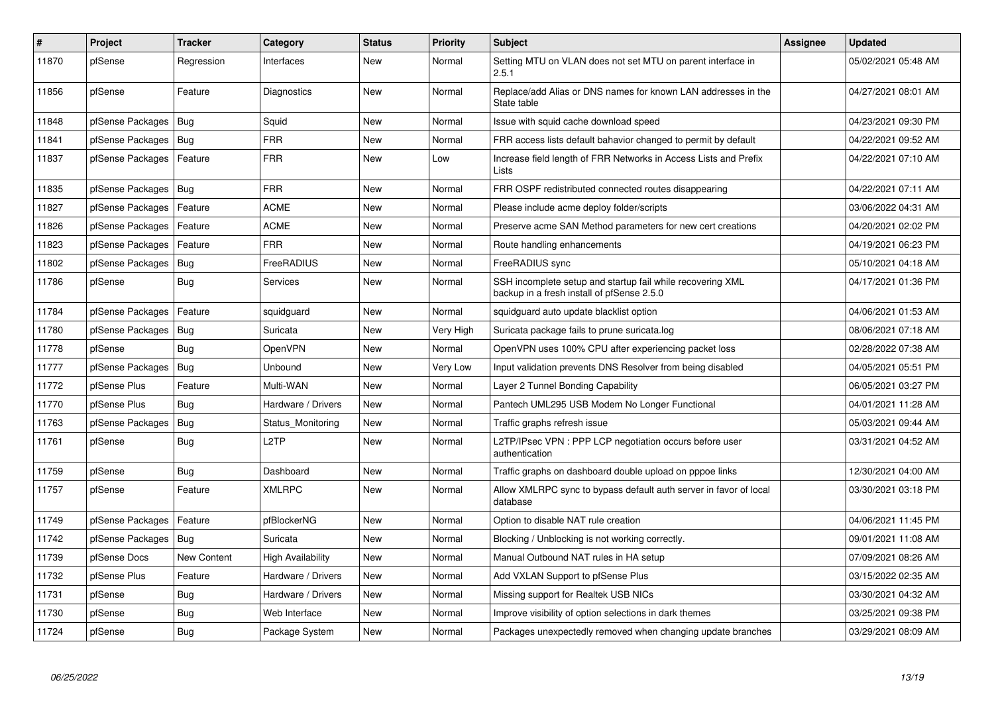| $\vert$ # | Project                | <b>Tracker</b> | Category                 | <b>Status</b> | <b>Priority</b> | <b>Subject</b>                                                                                           | <b>Assignee</b> | <b>Updated</b>      |
|-----------|------------------------|----------------|--------------------------|---------------|-----------------|----------------------------------------------------------------------------------------------------------|-----------------|---------------------|
| 11870     | pfSense                | Regression     | Interfaces               | New           | Normal          | Setting MTU on VLAN does not set MTU on parent interface in<br>2.5.1                                     |                 | 05/02/2021 05:48 AM |
| 11856     | pfSense                | Feature        | <b>Diagnostics</b>       | <b>New</b>    | Normal          | Replace/add Alias or DNS names for known LAN addresses in the<br>State table                             |                 | 04/27/2021 08:01 AM |
| 11848     | pfSense Packages       | Bug            | Squid                    | New           | Normal          | Issue with squid cache download speed                                                                    |                 | 04/23/2021 09:30 PM |
| 11841     | pfSense Packages       | Bug            | <b>FRR</b>               | <b>New</b>    | Normal          | FRR access lists default bahavior changed to permit by default                                           |                 | 04/22/2021 09:52 AM |
| 11837     | pfSense Packages       | Feature        | <b>FRR</b>               | <b>New</b>    | Low             | Increase field length of FRR Networks in Access Lists and Prefix<br>Lists                                |                 | 04/22/2021 07:10 AM |
| 11835     | pfSense Packages   Bug |                | <b>FRR</b>               | <b>New</b>    | Normal          | FRR OSPF redistributed connected routes disappearing                                                     |                 | 04/22/2021 07:11 AM |
| 11827     | pfSense Packages       | Feature        | <b>ACME</b>              | New           | Normal          | Please include acme deploy folder/scripts                                                                |                 | 03/06/2022 04:31 AM |
| 11826     | pfSense Packages       | Feature        | <b>ACME</b>              | <b>New</b>    | Normal          | Preserve acme SAN Method parameters for new cert creations                                               |                 | 04/20/2021 02:02 PM |
| 11823     | pfSense Packages       | Feature        | <b>FRR</b>               | <b>New</b>    | Normal          | Route handling enhancements                                                                              |                 | 04/19/2021 06:23 PM |
| 11802     | pfSense Packages       | Bug            | FreeRADIUS               | New           | Normal          | FreeRADIUS sync                                                                                          |                 | 05/10/2021 04:18 AM |
| 11786     | pfSense                | Bug            | Services                 | New           | Normal          | SSH incomplete setup and startup fail while recovering XML<br>backup in a fresh install of pfSense 2.5.0 |                 | 04/17/2021 01:36 PM |
| 11784     | pfSense Packages       | Feature        | squidguard               | New           | Normal          | squidguard auto update blacklist option                                                                  |                 | 04/06/2021 01:53 AM |
| 11780     | pfSense Packages       | <b>Bug</b>     | Suricata                 | New           | Very High       | Suricata package fails to prune suricata.log                                                             |                 | 08/06/2021 07:18 AM |
| 11778     | pfSense                | Bug            | <b>OpenVPN</b>           | New           | Normal          | OpenVPN uses 100% CPU after experiencing packet loss                                                     |                 | 02/28/2022 07:38 AM |
| 11777     | pfSense Packages       | Bug            | Unbound                  | <b>New</b>    | Very Low        | Input validation prevents DNS Resolver from being disabled                                               |                 | 04/05/2021 05:51 PM |
| 11772     | pfSense Plus           | Feature        | Multi-WAN                | <b>New</b>    | Normal          | Layer 2 Tunnel Bonding Capability                                                                        |                 | 06/05/2021 03:27 PM |
| 11770     | pfSense Plus           | Bug            | Hardware / Drivers       | <b>New</b>    | Normal          | Pantech UML295 USB Modem No Longer Functional                                                            |                 | 04/01/2021 11:28 AM |
| 11763     | pfSense Packages       | <b>Bug</b>     | Status_Monitoring        | New           | Normal          | Traffic graphs refresh issue                                                                             |                 | 05/03/2021 09:44 AM |
| 11761     | pfSense                | Bug            | L2TP                     | <b>New</b>    | Normal          | L2TP/IPsec VPN: PPP LCP negotiation occurs before user<br>authentication                                 |                 | 03/31/2021 04:52 AM |
| 11759     | pfSense                | Bug            | Dashboard                | New           | Normal          | Traffic graphs on dashboard double upload on pppoe links                                                 |                 | 12/30/2021 04:00 AM |
| 11757     | pfSense                | Feature        | <b>XMLRPC</b>            | <b>New</b>    | Normal          | Allow XMLRPC sync to bypass default auth server in favor of local<br>database                            |                 | 03/30/2021 03:18 PM |
| 11749     | pfSense Packages       | Feature        | pfBlockerNG              | <b>New</b>    | Normal          | Option to disable NAT rule creation                                                                      |                 | 04/06/2021 11:45 PM |
| 11742     | pfSense Packages       | Bug            | Suricata                 | <b>New</b>    | Normal          | Blocking / Unblocking is not working correctly.                                                          |                 | 09/01/2021 11:08 AM |
| 11739     | pfSense Docs           | New Content    | <b>High Availability</b> | <b>New</b>    | Normal          | Manual Outbound NAT rules in HA setup                                                                    |                 | 07/09/2021 08:26 AM |
| 11732     | pfSense Plus           | Feature        | Hardware / Drivers       | New           | Normal          | Add VXLAN Support to pfSense Plus                                                                        |                 | 03/15/2022 02:35 AM |
| 11731     | pfSense                | Bug            | Hardware / Drivers       | New           | Normal          | Missing support for Realtek USB NICs                                                                     |                 | 03/30/2021 04:32 AM |
| 11730     | pfSense                | <b>Bug</b>     | Web Interface            | <b>New</b>    | Normal          | Improve visibility of option selections in dark themes                                                   |                 | 03/25/2021 09:38 PM |
| 11724     | pfSense                | Bug            | Package System           | <b>New</b>    | Normal          | Packages unexpectedly removed when changing update branches                                              |                 | 03/29/2021 08:09 AM |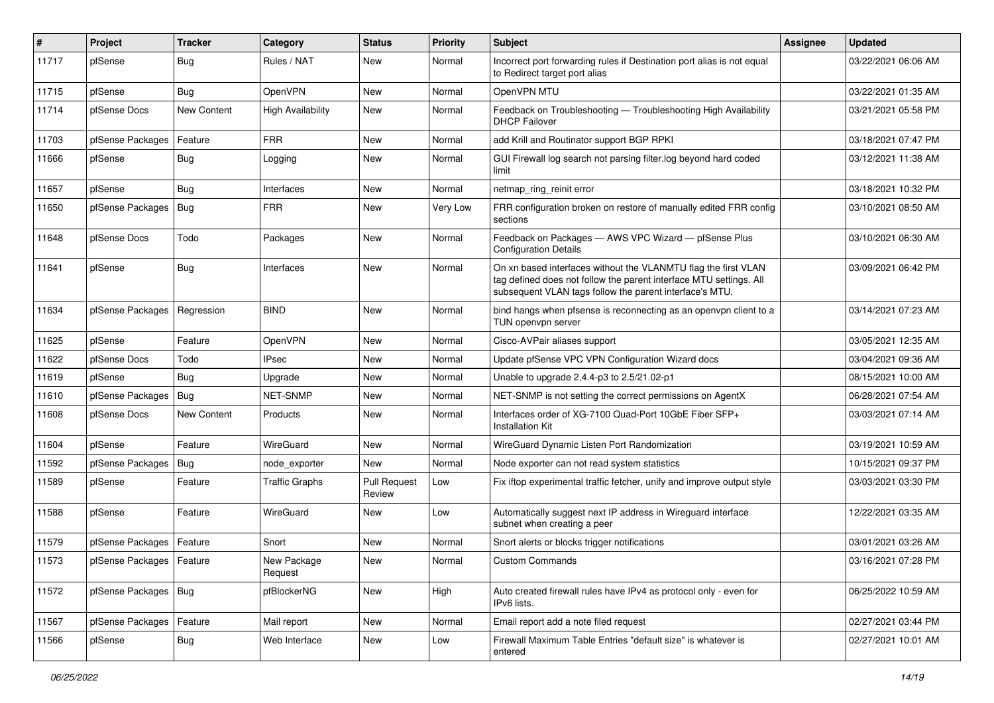| #     | Project                    | Tracker     | Category                 | <b>Status</b>                 | <b>Priority</b> | <b>Subject</b>                                                                                                                                                                                  | <b>Assignee</b> | <b>Updated</b>      |
|-------|----------------------------|-------------|--------------------------|-------------------------------|-----------------|-------------------------------------------------------------------------------------------------------------------------------------------------------------------------------------------------|-----------------|---------------------|
| 11717 | pfSense                    | Bug         | Rules / NAT              | New                           | Normal          | Incorrect port forwarding rules if Destination port alias is not equal<br>to Redirect target port alias                                                                                         |                 | 03/22/2021 06:06 AM |
| 11715 | pfSense                    | Bug         | OpenVPN                  | New                           | Normal          | OpenVPN MTU                                                                                                                                                                                     |                 | 03/22/2021 01:35 AM |
| 11714 | pfSense Docs               | New Content | <b>High Availability</b> | <b>New</b>                    | Normal          | Feedback on Troubleshooting - Troubleshooting High Availability<br><b>DHCP Failover</b>                                                                                                         |                 | 03/21/2021 05:58 PM |
| 11703 | pfSense Packages           | Feature     | <b>FRR</b>               | New                           | Normal          | add Krill and Routinator support BGP RPKI                                                                                                                                                       |                 | 03/18/2021 07:47 PM |
| 11666 | pfSense                    | Bug         | Logging                  | New                           | Normal          | GUI Firewall log search not parsing filter log beyond hard coded<br>limit                                                                                                                       |                 | 03/12/2021 11:38 AM |
| 11657 | pfSense                    | <b>Bug</b>  | Interfaces               | New                           | Normal          | netmap ring reinit error                                                                                                                                                                        |                 | 03/18/2021 10:32 PM |
| 11650 | pfSense Packages   Bug     |             | <b>FRR</b>               | New                           | Very Low        | FRR configuration broken on restore of manually edited FRR config<br>sections                                                                                                                   |                 | 03/10/2021 08:50 AM |
| 11648 | pfSense Docs               | Todo        | Packages                 | <b>New</b>                    | Normal          | Feedback on Packages - AWS VPC Wizard - pfSense Plus<br><b>Configuration Details</b>                                                                                                            |                 | 03/10/2021 06:30 AM |
| 11641 | pfSense                    | Bug         | Interfaces               | New                           | Normal          | On xn based interfaces without the VLANMTU flag the first VLAN<br>tag defined does not follow the parent interface MTU settings. All<br>subsequent VLAN tags follow the parent interface's MTU. |                 | 03/09/2021 06:42 PM |
| 11634 | pfSense Packages           | Regression  | <b>BIND</b>              | <b>New</b>                    | Normal          | bind hangs when pfsense is reconnecting as an openvpn client to a<br>TUN openvpn server                                                                                                         |                 | 03/14/2021 07:23 AM |
| 11625 | pfSense                    | Feature     | <b>OpenVPN</b>           | <b>New</b>                    | Normal          | Cisco-AVPair aliases support                                                                                                                                                                    |                 | 03/05/2021 12:35 AM |
| 11622 | pfSense Docs               | Todo        | IPsec                    | New                           | Normal          | Update pfSense VPC VPN Configuration Wizard docs                                                                                                                                                |                 | 03/04/2021 09:36 AM |
| 11619 | pfSense                    | Bug         | Upgrade                  | New                           | Normal          | Unable to upgrade 2.4.4-p3 to 2.5/21.02-p1                                                                                                                                                      |                 | 08/15/2021 10:00 AM |
| 11610 | pfSense Packages           | Bug         | <b>NET-SNMP</b>          | New                           | Normal          | NET-SNMP is not setting the correct permissions on AgentX                                                                                                                                       |                 | 06/28/2021 07:54 AM |
| 11608 | pfSense Docs               | New Content | Products                 | New                           | Normal          | Interfaces order of XG-7100 Quad-Port 10GbE Fiber SFP+<br>Installation Kit                                                                                                                      |                 | 03/03/2021 07:14 AM |
| 11604 | pfSense                    | Feature     | WireGuard                | New                           | Normal          | WireGuard Dynamic Listen Port Randomization                                                                                                                                                     |                 | 03/19/2021 10:59 AM |
| 11592 | pfSense Packages           | Bug         | node_exporter            | <b>New</b>                    | Normal          | Node exporter can not read system statistics                                                                                                                                                    |                 | 10/15/2021 09:37 PM |
| 11589 | pfSense                    | Feature     | <b>Traffic Graphs</b>    | <b>Pull Request</b><br>Review | Low             | Fix iftop experimental traffic fetcher, unify and improve output style                                                                                                                          |                 | 03/03/2021 03:30 PM |
| 11588 | pfSense                    | Feature     | WireGuard                | New                           | Low             | Automatically suggest next IP address in Wireguard interface<br>subnet when creating a peer                                                                                                     |                 | 12/22/2021 03:35 AM |
| 11579 | pfSense Packages           | Feature     | Snort                    | New                           | Normal          | Snort alerts or blocks trigger notifications                                                                                                                                                    |                 | 03/01/2021 03:26 AM |
| 11573 | pfSense Packages   Feature |             | New Package<br>Request   | New                           | Normal          | <b>Custom Commands</b>                                                                                                                                                                          |                 | 03/16/2021 07:28 PM |
| 11572 | pfSense Packages   Bug     |             | pfBlockerNG              | New                           | High            | Auto created firewall rules have IPv4 as protocol only - even for<br>IPv6 lists.                                                                                                                |                 | 06/25/2022 10:59 AM |
| 11567 | pfSense Packages           | Feature     | Mail report              | New                           | Normal          | Email report add a note filed request                                                                                                                                                           |                 | 02/27/2021 03:44 PM |
| 11566 | pfSense                    | <b>Bug</b>  | Web Interface            | New                           | Low             | Firewall Maximum Table Entries "default size" is whatever is<br>entered                                                                                                                         |                 | 02/27/2021 10:01 AM |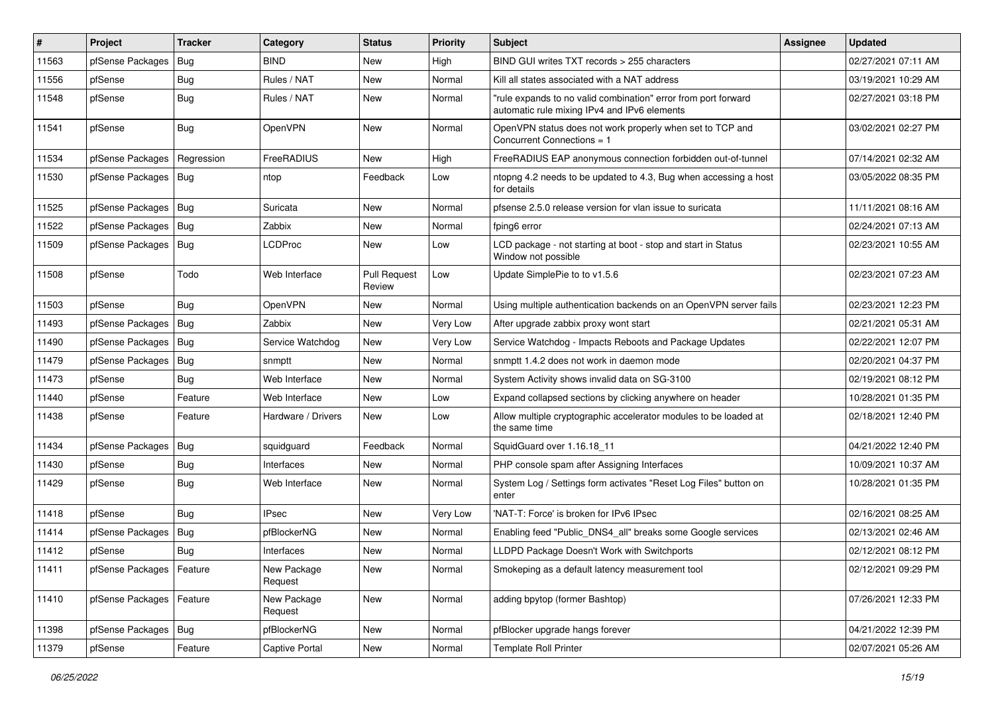| $\vert$ # | Project                    | <b>Tracker</b> | Category               | <b>Status</b>                 | <b>Priority</b> | <b>Subject</b>                                                                                                 | <b>Assignee</b> | <b>Updated</b>      |
|-----------|----------------------------|----------------|------------------------|-------------------------------|-----------------|----------------------------------------------------------------------------------------------------------------|-----------------|---------------------|
| 11563     | pfSense Packages           | Bug            | <b>BIND</b>            | New                           | High            | BIND GUI writes TXT records > 255 characters                                                                   |                 | 02/27/2021 07:11 AM |
| 11556     | pfSense                    | <b>Bug</b>     | Rules / NAT            | <b>New</b>                    | Normal          | Kill all states associated with a NAT address                                                                  |                 | 03/19/2021 10:29 AM |
| 11548     | pfSense                    | Bug            | Rules / NAT            | New                           | Normal          | "rule expands to no valid combination" error from port forward<br>automatic rule mixing IPv4 and IPv6 elements |                 | 02/27/2021 03:18 PM |
| 11541     | pfSense                    | <b>Bug</b>     | OpenVPN                | <b>New</b>                    | Normal          | OpenVPN status does not work properly when set to TCP and<br>Concurrent Connections = 1                        |                 | 03/02/2021 02:27 PM |
| 11534     | pfSense Packages           | Regression     | FreeRADIUS             | New                           | High            | FreeRADIUS EAP anonymous connection forbidden out-of-tunnel                                                    |                 | 07/14/2021 02:32 AM |
| 11530     | pfSense Packages   Bug     |                | ntop                   | Feedback                      | Low             | ntopng 4.2 needs to be updated to 4.3, Bug when accessing a host<br>for details                                |                 | 03/05/2022 08:35 PM |
| 11525     | pfSense Packages   Bug     |                | Suricata               | New                           | Normal          | pfsense 2.5.0 release version for vlan issue to suricata                                                       |                 | 11/11/2021 08:16 AM |
| 11522     | pfSense Packages           | Bug            | Zabbix                 | New                           | Normal          | fping6 error                                                                                                   |                 | 02/24/2021 07:13 AM |
| 11509     | pfSense Packages   Bug     |                | <b>LCDProc</b>         | New                           | Low             | LCD package - not starting at boot - stop and start in Status<br>Window not possible                           |                 | 02/23/2021 10:55 AM |
| 11508     | pfSense                    | Todo           | Web Interface          | <b>Pull Request</b><br>Review | Low             | Update SimplePie to to v1.5.6                                                                                  |                 | 02/23/2021 07:23 AM |
| 11503     | pfSense                    | Bug            | OpenVPN                | <b>New</b>                    | Normal          | Using multiple authentication backends on an OpenVPN server fails                                              |                 | 02/23/2021 12:23 PM |
| 11493     | pfSense Packages           | <b>Bug</b>     | Zabbix                 | New                           | Very Low        | After upgrade zabbix proxy wont start                                                                          |                 | 02/21/2021 05:31 AM |
| 11490     | pfSense Packages           | Bug            | Service Watchdog       | New                           | Very Low        | Service Watchdog - Impacts Reboots and Package Updates                                                         |                 | 02/22/2021 12:07 PM |
| 11479     | pfSense Packages           | Bug            | snmptt                 | New                           | Normal          | snmptt 1.4.2 does not work in daemon mode                                                                      |                 | 02/20/2021 04:37 PM |
| 11473     | pfSense                    | Bug            | Web Interface          | New                           | Normal          | System Activity shows invalid data on SG-3100                                                                  |                 | 02/19/2021 08:12 PM |
| 11440     | pfSense                    | Feature        | Web Interface          | <b>New</b>                    | Low             | Expand collapsed sections by clicking anywhere on header                                                       |                 | 10/28/2021 01:35 PM |
| 11438     | pfSense                    | Feature        | Hardware / Drivers     | New                           | Low             | Allow multiple cryptographic accelerator modules to be loaded at<br>the same time                              |                 | 02/18/2021 12:40 PM |
| 11434     | pfSense Packages   Bug     |                | squidguard             | Feedback                      | Normal          | SquidGuard over 1.16.18 11                                                                                     |                 | 04/21/2022 12:40 PM |
| 11430     | pfSense                    | <b>Bug</b>     | Interfaces             | New                           | Normal          | PHP console spam after Assigning Interfaces                                                                    |                 | 10/09/2021 10:37 AM |
| 11429     | pfSense                    | <b>Bug</b>     | Web Interface          | <b>New</b>                    | Normal          | System Log / Settings form activates "Reset Log Files" button on<br>enter                                      |                 | 10/28/2021 01:35 PM |
| 11418     | pfSense                    | <b>Bug</b>     | <b>IPsec</b>           | New                           | Very Low        | 'NAT-T: Force' is broken for IPv6 IPsec                                                                        |                 | 02/16/2021 08:25 AM |
| 11414     | pfSense Packages           | Bug            | pfBlockerNG            | <b>New</b>                    | Normal          | Enabling feed "Public DNS4 all" breaks some Google services                                                    |                 | 02/13/2021 02:46 AM |
| 11412     | pfSense                    | Bug            | Interfaces             | New                           | Normal          | LLDPD Package Doesn't Work with Switchports                                                                    |                 | 02/12/2021 08:12 PM |
| 11411     | pfSense Packages   Feature |                | New Package<br>Request | New                           | Normal          | Smokeping as a default latency measurement tool                                                                |                 | 02/12/2021 09:29 PM |
| 11410     | pfSense Packages           | Feature        | New Package<br>Request | New                           | Normal          | adding bpytop (former Bashtop)                                                                                 |                 | 07/26/2021 12:33 PM |
| 11398     | pfSense Packages   Bug     |                | pfBlockerNG            | New                           | Normal          | pfBlocker upgrade hangs forever                                                                                |                 | 04/21/2022 12:39 PM |
| 11379     | pfSense                    | Feature        | Captive Portal         | New                           | Normal          | <b>Template Roll Printer</b>                                                                                   |                 | 02/07/2021 05:26 AM |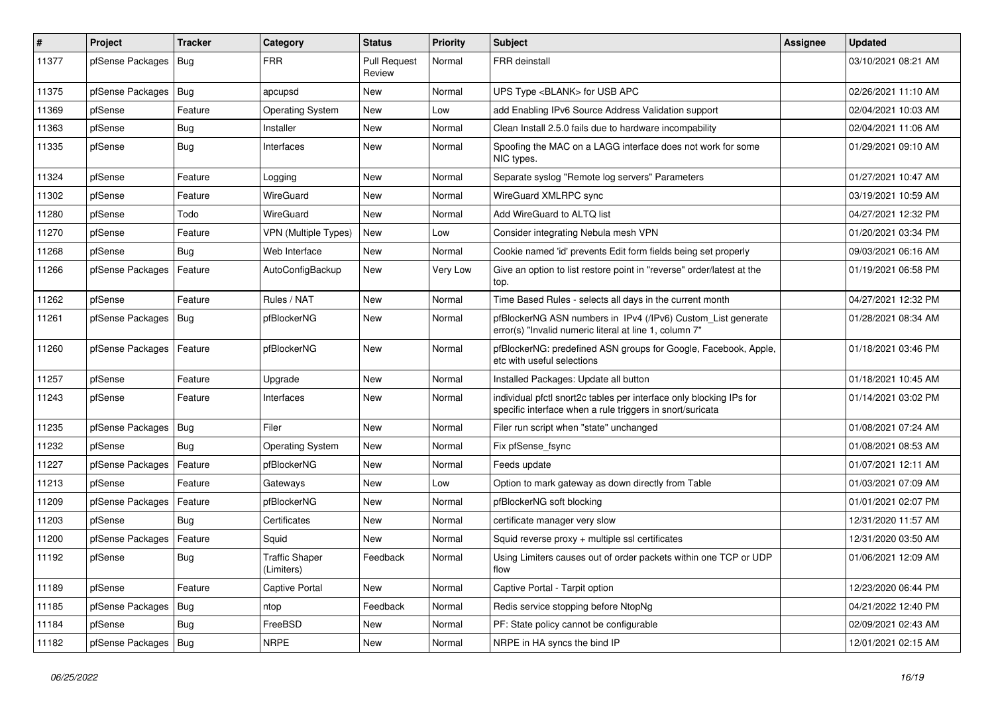| $\sharp$ | <b>Project</b>         | <b>Tracker</b> | Category                            | <b>Status</b>                 | <b>Priority</b> | <b>Subject</b>                                                                                                                   | <b>Assignee</b> | <b>Updated</b>      |
|----------|------------------------|----------------|-------------------------------------|-------------------------------|-----------------|----------------------------------------------------------------------------------------------------------------------------------|-----------------|---------------------|
| 11377    | pfSense Packages       | Bug            | <b>FRR</b>                          | <b>Pull Request</b><br>Review | Normal          | FRR deinstall                                                                                                                    |                 | 03/10/2021 08:21 AM |
| 11375    | pfSense Packages       | Bug            | apcupsd                             | New                           | Normal          | UPS Type <blank> for USB APC</blank>                                                                                             |                 | 02/26/2021 11:10 AM |
| 11369    | pfSense                | Feature        | <b>Operating System</b>             | New                           | Low             | add Enabling IPv6 Source Address Validation support                                                                              |                 | 02/04/2021 10:03 AM |
| 11363    | pfSense                | <b>Bug</b>     | Installer                           | <b>New</b>                    | Normal          | Clean Install 2.5.0 fails due to hardware incompability                                                                          |                 | 02/04/2021 11:06 AM |
| 11335    | pfSense                | Bug            | Interfaces                          | New                           | Normal          | Spoofing the MAC on a LAGG interface does not work for some<br>NIC types.                                                        |                 | 01/29/2021 09:10 AM |
| 11324    | pfSense                | Feature        | Logging                             | New                           | Normal          | Separate syslog "Remote log servers" Parameters                                                                                  |                 | 01/27/2021 10:47 AM |
| 11302    | pfSense                | Feature        | WireGuard                           | New                           | Normal          | WireGuard XMLRPC sync                                                                                                            |                 | 03/19/2021 10:59 AM |
| 11280    | pfSense                | Todo           | WireGuard                           | <b>New</b>                    | Normal          | Add WireGuard to ALTQ list                                                                                                       |                 | 04/27/2021 12:32 PM |
| 11270    | pfSense                | Feature        | VPN (Multiple Types)                | New                           | Low             | Consider integrating Nebula mesh VPN                                                                                             |                 | 01/20/2021 03:34 PM |
| 11268    | pfSense                | Bug            | Web Interface                       | New                           | Normal          | Cookie named 'id' prevents Edit form fields being set properly                                                                   |                 | 09/03/2021 06:16 AM |
| 11266    | pfSense Packages       | Feature        | AutoConfigBackup                    | New                           | Very Low        | Give an option to list restore point in "reverse" order/latest at the<br>top.                                                    |                 | 01/19/2021 06:58 PM |
| 11262    | pfSense                | Feature        | Rules / NAT                         | <b>New</b>                    | Normal          | Time Based Rules - selects all days in the current month                                                                         |                 | 04/27/2021 12:32 PM |
| 11261    | pfSense Packages       | Bug            | pfBlockerNG                         | New                           | Normal          | pfBlockerNG ASN numbers in IPv4 (/IPv6) Custom List generate<br>error(s) "Invalid numeric literal at line 1, column 7"           |                 | 01/28/2021 08:34 AM |
| 11260    | pfSense Packages       | Feature        | pfBlockerNG                         | <b>New</b>                    | Normal          | pfBlockerNG: predefined ASN groups for Google, Facebook, Apple,<br>etc with useful selections                                    |                 | 01/18/2021 03:46 PM |
| 11257    | pfSense                | Feature        | Upgrade                             | New                           | Normal          | Installed Packages: Update all button                                                                                            |                 | 01/18/2021 10:45 AM |
| 11243    | pfSense                | Feature        | Interfaces                          | New                           | Normal          | individual pfctl snort2c tables per interface only blocking IPs for<br>specific interface when a rule triggers in snort/suricata |                 | 01/14/2021 03:02 PM |
| 11235    | pfSense Packages       | Bug            | Filer                               | <b>New</b>                    | Normal          | Filer run script when "state" unchanged                                                                                          |                 | 01/08/2021 07:24 AM |
| 11232    | pfSense                | Bug            | <b>Operating System</b>             | New                           | Normal          | Fix pfSense fsync                                                                                                                |                 | 01/08/2021 08:53 AM |
| 11227    | pfSense Packages       | Feature        | pfBlockerNG                         | New                           | Normal          | Feeds update                                                                                                                     |                 | 01/07/2021 12:11 AM |
| 11213    | pfSense                | Feature        | Gateways                            | <b>New</b>                    | Low             | Option to mark gateway as down directly from Table                                                                               |                 | 01/03/2021 07:09 AM |
| 11209    | pfSense Packages       | Feature        | pfBlockerNG                         | New                           | Normal          | pfBlockerNG soft blocking                                                                                                        |                 | 01/01/2021 02:07 PM |
| 11203    | pfSense                | Bug            | Certificates                        | New                           | Normal          | certificate manager very slow                                                                                                    |                 | 12/31/2020 11:57 AM |
| 11200    | pfSense Packages       | Feature        | Squid                               | New                           | Normal          | Squid reverse proxy + multiple ssl certificates                                                                                  |                 | 12/31/2020 03:50 AM |
| 11192    | pfSense                | Bug            | <b>Traffic Shaper</b><br>(Limiters) | Feedback                      | Normal          | Using Limiters causes out of order packets within one TCP or UDP<br>flow                                                         |                 | 01/06/2021 12:09 AM |
| 11189    | pfSense                | Feature        | Captive Portal                      | New                           | Normal          | Captive Portal - Tarpit option                                                                                                   |                 | 12/23/2020 06:44 PM |
| 11185    | pfSense Packages       | Bug            | ntop                                | Feedback                      | Normal          | Redis service stopping before NtopNg                                                                                             |                 | 04/21/2022 12:40 PM |
| 11184    | pfSense                | <b>Bug</b>     | FreeBSD                             | New                           | Normal          | PF: State policy cannot be configurable                                                                                          |                 | 02/09/2021 02:43 AM |
| 11182    | pfSense Packages   Bug |                | <b>NRPE</b>                         | New                           | Normal          | NRPE in HA syncs the bind IP                                                                                                     |                 | 12/01/2021 02:15 AM |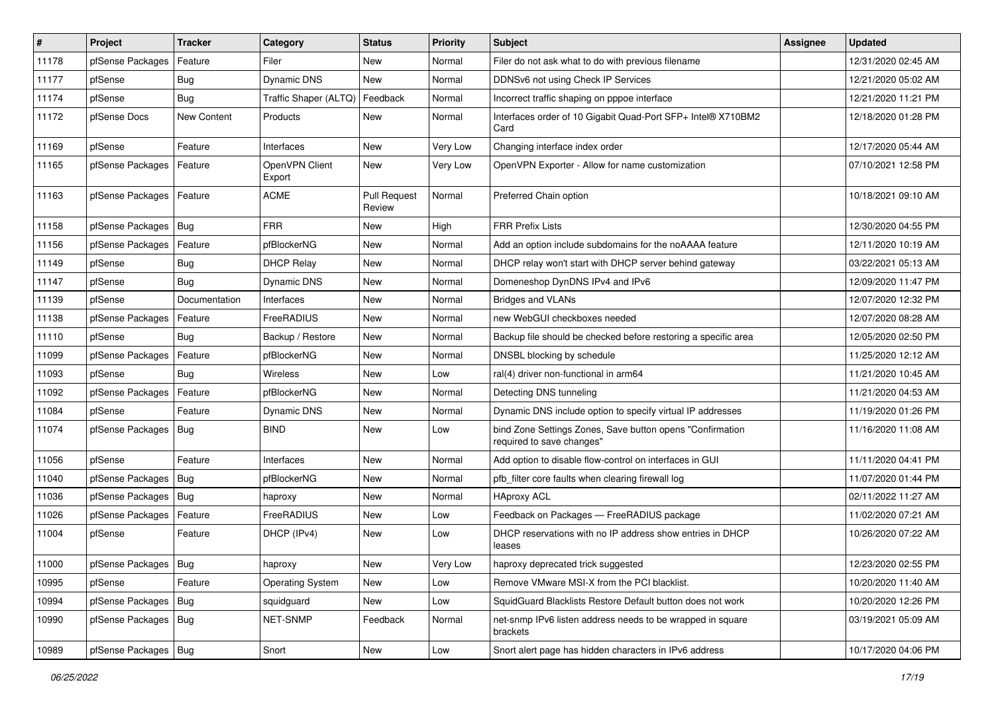| $\vert$ # | Project                | <b>Tracker</b> | Category                 | <b>Status</b>                 | <b>Priority</b> | Subject                                                                                | <b>Assignee</b> | <b>Updated</b>      |
|-----------|------------------------|----------------|--------------------------|-------------------------------|-----------------|----------------------------------------------------------------------------------------|-----------------|---------------------|
| 11178     | pfSense Packages       | Feature        | Filer                    | New                           | Normal          | Filer do not ask what to do with previous filename                                     |                 | 12/31/2020 02:45 AM |
| 11177     | pfSense                | <b>Bug</b>     | <b>Dynamic DNS</b>       | <b>New</b>                    | Normal          | DDNSv6 not using Check IP Services                                                     |                 | 12/21/2020 05:02 AM |
| 11174     | pfSense                | Bug            | Traffic Shaper (ALTQ)    | Feedback                      | Normal          | Incorrect traffic shaping on pppoe interface                                           |                 | 12/21/2020 11:21 PM |
| 11172     | pfSense Docs           | New Content    | Products                 | New                           | Normal          | Interfaces order of 10 Gigabit Quad-Port SFP+ Intel® X710BM2<br>Card                   |                 | 12/18/2020 01:28 PM |
| 11169     | pfSense                | Feature        | Interfaces               | <b>New</b>                    | Very Low        | Changing interface index order                                                         |                 | 12/17/2020 05:44 AM |
| 11165     | pfSense Packages       | Feature        | OpenVPN Client<br>Export | New                           | Very Low        | OpenVPN Exporter - Allow for name customization                                        |                 | 07/10/2021 12:58 PM |
| 11163     | pfSense Packages       | Feature        | <b>ACME</b>              | <b>Pull Request</b><br>Review | Normal          | Preferred Chain option                                                                 |                 | 10/18/2021 09:10 AM |
| 11158     | pfSense Packages       | Bug            | <b>FRR</b>               | <b>New</b>                    | High            | <b>FRR Prefix Lists</b>                                                                |                 | 12/30/2020 04:55 PM |
| 11156     | pfSense Packages       | Feature        | pfBlockerNG              | <b>New</b>                    | Normal          | Add an option include subdomains for the noAAAA feature                                |                 | 12/11/2020 10:19 AM |
| 11149     | pfSense                | <b>Bug</b>     | <b>DHCP Relay</b>        | <b>New</b>                    | Normal          | DHCP relay won't start with DHCP server behind gateway                                 |                 | 03/22/2021 05:13 AM |
| 11147     | pfSense                | Bug            | <b>Dynamic DNS</b>       | New                           | Normal          | Domeneshop DynDNS IPv4 and IPv6                                                        |                 | 12/09/2020 11:47 PM |
| 11139     | pfSense                | Documentation  | Interfaces               | New                           | Normal          | <b>Bridges and VLANs</b>                                                               |                 | 12/07/2020 12:32 PM |
| 11138     | pfSense Packages       | Feature        | FreeRADIUS               | <b>New</b>                    | Normal          | new WebGUI checkboxes needed                                                           |                 | 12/07/2020 08:28 AM |
| 11110     | pfSense                | Bug            | Backup / Restore         | New                           | Normal          | Backup file should be checked before restoring a specific area                         |                 | 12/05/2020 02:50 PM |
| 11099     | pfSense Packages       | Feature        | pfBlockerNG              | <b>New</b>                    | Normal          | DNSBL blocking by schedule                                                             |                 | 11/25/2020 12:12 AM |
| 11093     | pfSense                | Bug            | <b>Wireless</b>          | New                           | Low             | ral(4) driver non-functional in arm64                                                  |                 | 11/21/2020 10:45 AM |
| 11092     | pfSense Packages       | Feature        | pfBlockerNG              | New                           | Normal          | Detecting DNS tunneling                                                                |                 | 11/21/2020 04:53 AM |
| 11084     | pfSense                | Feature        | Dynamic DNS              | <b>New</b>                    | Normal          | Dynamic DNS include option to specify virtual IP addresses                             |                 | 11/19/2020 01:26 PM |
| 11074     | pfSense Packages       | Bug            | <b>BIND</b>              | New                           | Low             | bind Zone Settings Zones, Save button opens "Confirmation<br>required to save changes" |                 | 11/16/2020 11:08 AM |
| 11056     | pfSense                | Feature        | Interfaces               | <b>New</b>                    | Normal          | Add option to disable flow-control on interfaces in GUI                                |                 | 11/11/2020 04:41 PM |
| 11040     | pfSense Packages       | Bug            | pfBlockerNG              | New                           | Normal          | pfb_filter core faults when clearing firewall log                                      |                 | 11/07/2020 01:44 PM |
| 11036     | pfSense Packages       | Bug            | haproxy                  | <b>New</b>                    | Normal          | <b>HAproxy ACL</b>                                                                     |                 | 02/11/2022 11:27 AM |
| 11026     | pfSense Packages       | Feature        | <b>FreeRADIUS</b>        | New                           | Low             | Feedback on Packages - FreeRADIUS package                                              |                 | 11/02/2020 07:21 AM |
| 11004     | pfSense                | Feature        | DHCP (IPv4)              | New                           | Low             | DHCP reservations with no IP address show entries in DHCP<br>leases                    |                 | 10/26/2020 07:22 AM |
| 11000     | pfSense Packages   Bug |                | haproxy                  | New                           | Very Low        | haproxy deprecated trick suggested                                                     |                 | 12/23/2020 02:55 PM |
| 10995     | pfSense                | Feature        | <b>Operating System</b>  | New                           | Low             | Remove VMware MSI-X from the PCI blacklist.                                            |                 | 10/20/2020 11:40 AM |
| 10994     | pfSense Packages       | Bug            | squidguard               | New                           | Low             | SquidGuard Blacklists Restore Default button does not work                             |                 | 10/20/2020 12:26 PM |
| 10990     | pfSense Packages   Bug |                | NET-SNMP                 | Feedback                      | Normal          | net-snmp IPv6 listen address needs to be wrapped in square<br>brackets                 |                 | 03/19/2021 05:09 AM |
| 10989     | pfSense Packages   Bug |                | Snort                    | New                           | Low             | Snort alert page has hidden characters in IPv6 address                                 |                 | 10/17/2020 04:06 PM |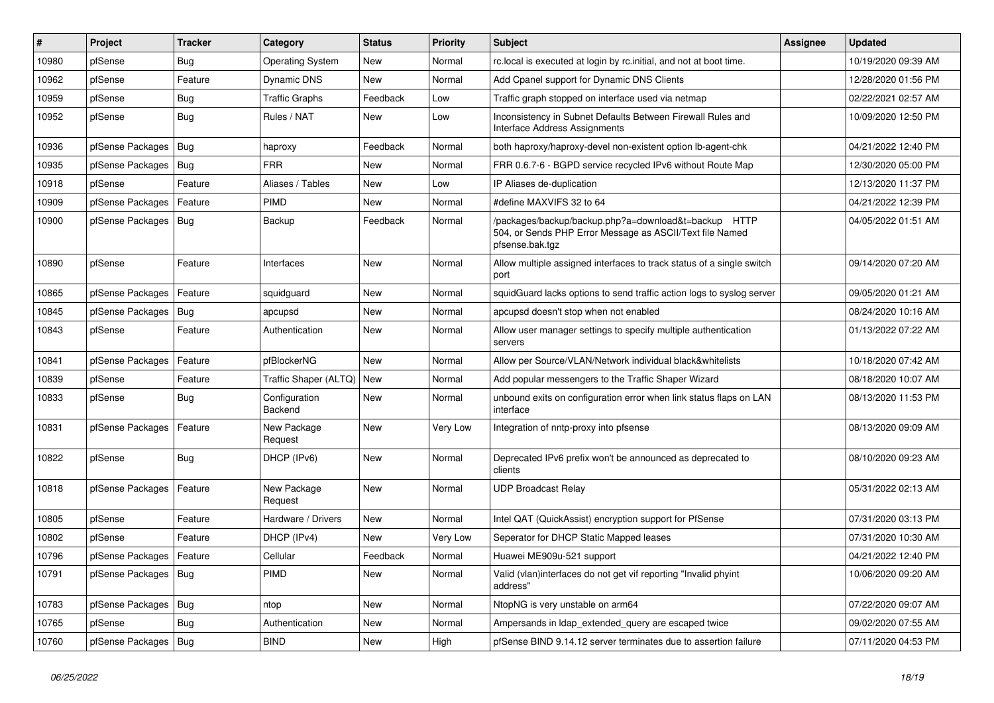| #     | Project                    | <b>Tracker</b> | Category                 | <b>Status</b> | <b>Priority</b> | Subject                                                                                                                             | Assignee | <b>Updated</b>      |
|-------|----------------------------|----------------|--------------------------|---------------|-----------------|-------------------------------------------------------------------------------------------------------------------------------------|----------|---------------------|
| 10980 | pfSense                    | Bug            | <b>Operating System</b>  | New           | Normal          | rc.local is executed at login by rc.initial, and not at boot time.                                                                  |          | 10/19/2020 09:39 AM |
| 10962 | pfSense                    | Feature        | <b>Dynamic DNS</b>       | <b>New</b>    | Normal          | Add Cpanel support for Dynamic DNS Clients                                                                                          |          | 12/28/2020 01:56 PM |
| 10959 | pfSense                    | <b>Bug</b>     | <b>Traffic Graphs</b>    | Feedback      | Low             | Traffic graph stopped on interface used via netmap                                                                                  |          | 02/22/2021 02:57 AM |
| 10952 | pfSense                    | Bug            | Rules / NAT              | New           | Low             | Inconsistency in Subnet Defaults Between Firewall Rules and<br>Interface Address Assignments                                        |          | 10/09/2020 12:50 PM |
| 10936 | pfSense Packages           | Bug            | haproxy                  | Feedback      | Normal          | both haproxy/haproxy-devel non-existent option lb-agent-chk                                                                         |          | 04/21/2022 12:40 PM |
| 10935 | pfSense Packages   Bug     |                | <b>FRR</b>               | New           | Normal          | FRR 0.6.7-6 - BGPD service recycled IPv6 without Route Map                                                                          |          | 12/30/2020 05:00 PM |
| 10918 | pfSense                    | Feature        | Aliases / Tables         | <b>New</b>    | Low             | IP Aliases de-duplication                                                                                                           |          | 12/13/2020 11:37 PM |
| 10909 | pfSense Packages           | Feature        | <b>PIMD</b>              | New           | Normal          | #define MAXVIFS 32 to 64                                                                                                            |          | 04/21/2022 12:39 PM |
| 10900 | pfSense Packages   Bug     |                | Backup                   | Feedback      | Normal          | /packages/backup/backup.php?a=download&t=backup HTTP<br>504, or Sends PHP Error Message as ASCII/Text file Named<br>pfsense.bak.tgz |          | 04/05/2022 01:51 AM |
| 10890 | pfSense                    | Feature        | Interfaces               | <b>New</b>    | Normal          | Allow multiple assigned interfaces to track status of a single switch<br>port                                                       |          | 09/14/2020 07:20 AM |
| 10865 | pfSense Packages           | Feature        | squidguard               | <b>New</b>    | Normal          | squidGuard lacks options to send traffic action logs to syslog server                                                               |          | 09/05/2020 01:21 AM |
| 10845 | pfSense Packages           | Bug            | apcupsd                  | <b>New</b>    | Normal          | apcupsd doesn't stop when not enabled                                                                                               |          | 08/24/2020 10:16 AM |
| 10843 | pfSense                    | Feature        | Authentication           | New           | Normal          | Allow user manager settings to specify multiple authentication<br>servers                                                           |          | 01/13/2022 07:22 AM |
| 10841 | pfSense Packages           | Feature        | pfBlockerNG              | <b>New</b>    | Normal          | Allow per Source/VLAN/Network individual black&whitelists                                                                           |          | 10/18/2020 07:42 AM |
| 10839 | pfSense                    | Feature        | Traffic Shaper (ALTQ)    | New           | Normal          | Add popular messengers to the Traffic Shaper Wizard                                                                                 |          | 08/18/2020 10:07 AM |
| 10833 | pfSense                    | <b>Bug</b>     | Configuration<br>Backend | New           | Normal          | unbound exits on configuration error when link status flaps on LAN<br>interface                                                     |          | 08/13/2020 11:53 PM |
| 10831 | pfSense Packages           | Feature        | New Package<br>Request   | New           | Very Low        | Integration of nntp-proxy into pfsense                                                                                              |          | 08/13/2020 09:09 AM |
| 10822 | pfSense                    | Bug            | DHCP (IPv6)              | <b>New</b>    | Normal          | Deprecated IPv6 prefix won't be announced as deprecated to<br>clients                                                               |          | 08/10/2020 09:23 AM |
| 10818 | pfSense Packages           | Feature        | New Package<br>Request   | <b>New</b>    | Normal          | <b>UDP Broadcast Relay</b>                                                                                                          |          | 05/31/2022 02:13 AM |
| 10805 | pfSense                    | Feature        | Hardware / Drivers       | <b>New</b>    | Normal          | Intel QAT (QuickAssist) encryption support for PfSense                                                                              |          | 07/31/2020 03:13 PM |
| 10802 | pfSense                    | Feature        | DHCP (IPv4)              | New           | Very Low        | Seperator for DHCP Static Mapped leases                                                                                             |          | 07/31/2020 10:30 AM |
| 10796 | pfSense Packages   Feature |                | Cellular                 | Feedback      | Normal          | Huawei ME909u-521 support                                                                                                           |          | 04/21/2022 12:40 PM |
| 10791 | pfSense Packages   Bug     |                | PIMD                     | New           | Normal          | Valid (vlan)interfaces do not get vif reporting "Invalid phyint<br>address"                                                         |          | 10/06/2020 09:20 AM |
| 10783 | pfSense Packages   Bug     |                | ntop                     | New           | Normal          | NtopNG is very unstable on arm64                                                                                                    |          | 07/22/2020 09:07 AM |
| 10765 | pfSense                    | <b>Bug</b>     | Authentication           | New           | Normal          | Ampersands in Idap extended query are escaped twice                                                                                 |          | 09/02/2020 07:55 AM |
| 10760 | pfSense Packages   Bug     |                | <b>BIND</b>              | New           | High            | pfSense BIND 9.14.12 server terminates due to assertion failure                                                                     |          | 07/11/2020 04:53 PM |